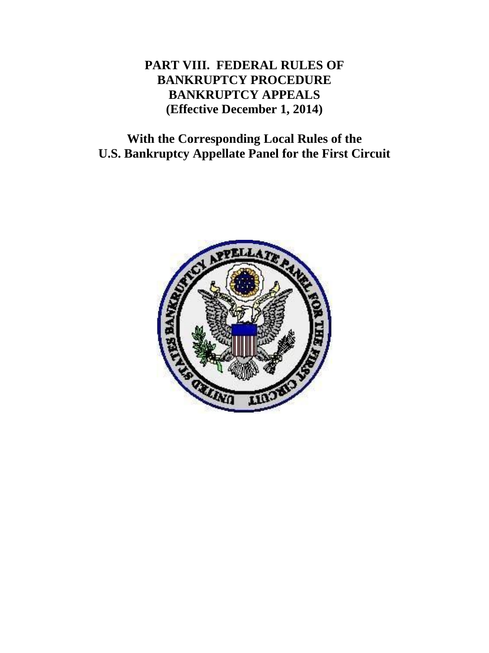**PART VIII. FEDERAL RULES OF BANKRUPTCY PROCEDURE BANKRUPTCY APPEALS (Effective December 1, 2014)**

# **With the Corresponding Local Rules of the U.S. Bankruptcy Appellate Panel for the First Circuit**

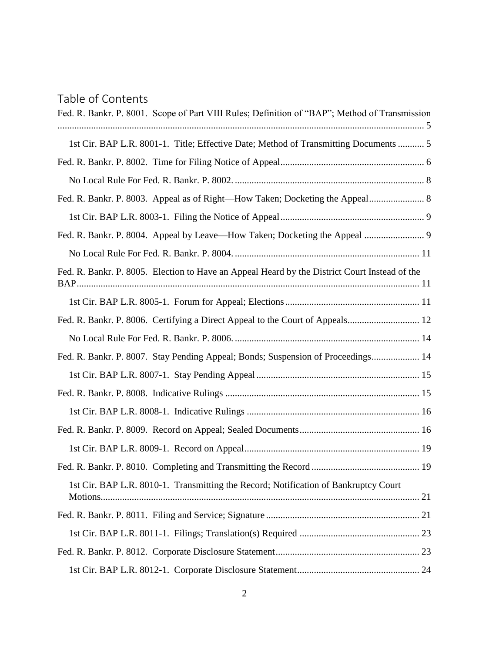# Table of Contents

| Fed. R. Bankr. P. 8001. Scope of Part VIII Rules; Definition of "BAP"; Method of Transmission |  |
|-----------------------------------------------------------------------------------------------|--|
| 1st Cir. BAP L.R. 8001-1. Title; Effective Date; Method of Transmitting Documents  5          |  |
|                                                                                               |  |
|                                                                                               |  |
|                                                                                               |  |
|                                                                                               |  |
| Fed. R. Bankr. P. 8004. Appeal by Leave-How Taken; Docketing the Appeal  9                    |  |
|                                                                                               |  |
| Fed. R. Bankr. P. 8005. Election to Have an Appeal Heard by the District Court Instead of the |  |
|                                                                                               |  |
| Fed. R. Bankr. P. 8006. Certifying a Direct Appeal to the Court of Appeals 12                 |  |
|                                                                                               |  |
| Fed. R. Bankr. P. 8007. Stay Pending Appeal; Bonds; Suspension of Proceedings 14              |  |
|                                                                                               |  |
|                                                                                               |  |
|                                                                                               |  |
|                                                                                               |  |
|                                                                                               |  |
|                                                                                               |  |
| 1st Cir. BAP L.R. 8010-1. Transmitting the Record; Notification of Bankruptcy Court           |  |
|                                                                                               |  |
|                                                                                               |  |
|                                                                                               |  |
|                                                                                               |  |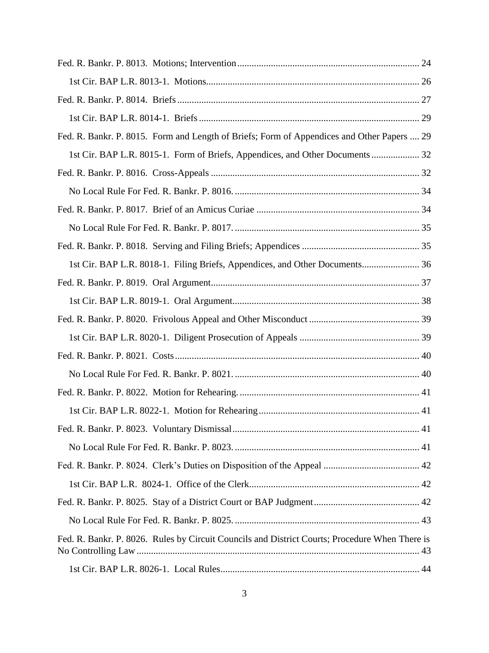| Fed. R. Bankr. P. 8015. Form and Length of Briefs; Form of Appendices and Other Papers  29     |  |
|------------------------------------------------------------------------------------------------|--|
| 1st Cir. BAP L.R. 8015-1. Form of Briefs, Appendices, and Other Documents  32                  |  |
|                                                                                                |  |
|                                                                                                |  |
|                                                                                                |  |
|                                                                                                |  |
|                                                                                                |  |
| 1st Cir. BAP L.R. 8018-1. Filing Briefs, Appendices, and Other Documents 36                    |  |
|                                                                                                |  |
|                                                                                                |  |
|                                                                                                |  |
|                                                                                                |  |
|                                                                                                |  |
|                                                                                                |  |
|                                                                                                |  |
|                                                                                                |  |
|                                                                                                |  |
|                                                                                                |  |
|                                                                                                |  |
|                                                                                                |  |
|                                                                                                |  |
|                                                                                                |  |
| Fed. R. Bankr. P. 8026. Rules by Circuit Councils and District Courts; Procedure When There is |  |
|                                                                                                |  |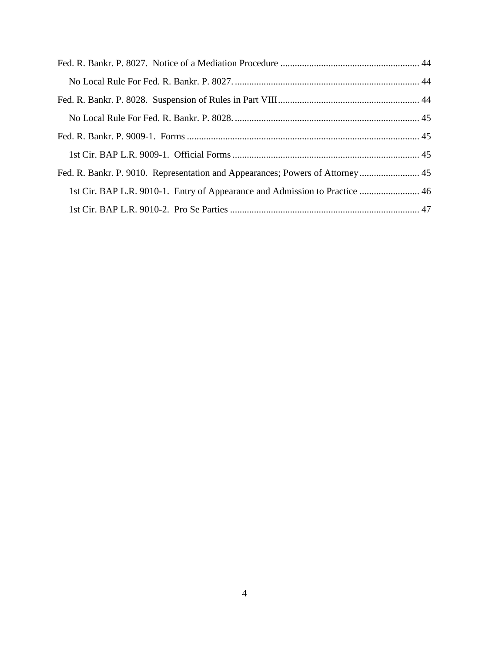| Fed. R. Bankr. P. 9010. Representation and Appearances; Powers of Attorney 45 |  |
|-------------------------------------------------------------------------------|--|
| 1st Cir. BAP L.R. 9010-1. Entry of Appearance and Admission to Practice  46   |  |
|                                                                               |  |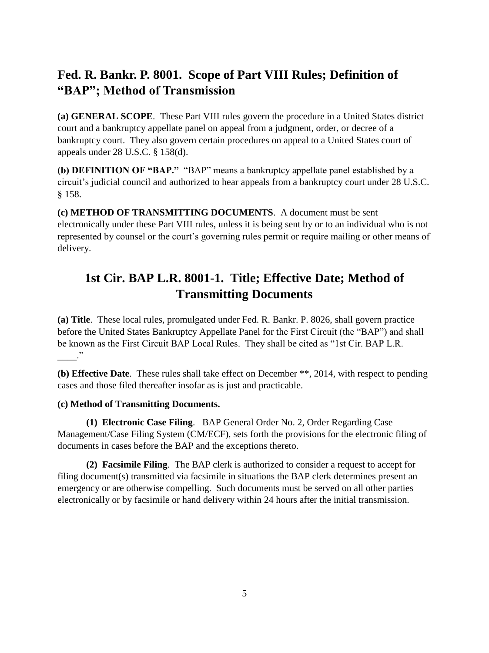# <span id="page-4-0"></span>**Fed. R. Bankr. P. 8001. Scope of Part VIII Rules; Definition of "BAP"; Method of Transmission**

**(a) GENERAL SCOPE**. These Part VIII rules govern the procedure in a United States district court and a bankruptcy appellate panel on appeal from a judgment, order, or decree of a bankruptcy court. They also govern certain procedures on appeal to a United States court of appeals under 28 U.S.C. § 158(d).

**(b) DEFINITION OF "BAP."** "BAP" means a bankruptcy appellate panel established by a circuit's judicial council and authorized to hear appeals from a bankruptcy court under 28 U.S.C. § 158.

**(c) METHOD OF TRANSMITTING DOCUMENTS**. A document must be sent electronically under these Part VIII rules, unless it is being sent by or to an individual who is not represented by counsel or the court's governing rules permit or require mailing or other means of delivery.

# <span id="page-4-1"></span>**1st Cir. BAP L.R. 8001-1. Title; Effective Date; Method of Transmitting Documents**

**(a) Title**. These local rules, promulgated under Fed. R. Bankr. P. 8026, shall govern practice before the United States Bankruptcy Appellate Panel for the First Circuit (the "BAP") and shall be known as the First Circuit BAP Local Rules. They shall be cited as "1st Cir. BAP L.R.  $\ddots$ 

**(b) Effective Date**. These rules shall take effect on December \*\*, 2014, with respect to pending cases and those filed thereafter insofar as is just and practicable.

### **(c) Method of Transmitting Documents.**

**(1) Electronic Case Filing**. BAP General Order No. 2, Order Regarding Case Management/Case Filing System (CM/ECF), sets forth the provisions for the electronic filing of documents in cases before the BAP and the exceptions thereto.

**(2) Facsimile Filing**. The BAP clerk is authorized to consider a request to accept for filing document(s) transmitted via facsimile in situations the BAP clerk determines present an emergency or are otherwise compelling. Such documents must be served on all other parties electronically or by facsimile or hand delivery within 24 hours after the initial transmission.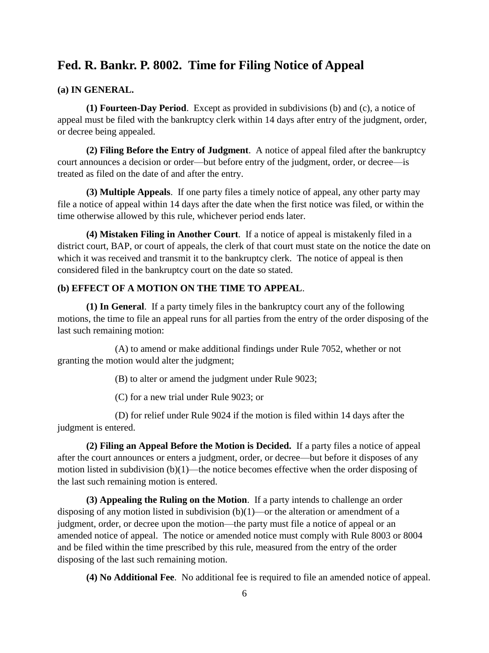### <span id="page-5-0"></span>**Fed. R. Bankr. P. 8002. Time for Filing Notice of Appeal**

#### **(a) IN GENERAL.**

**(1) Fourteen-Day Period**. Except as provided in subdivisions (b) and (c), a notice of appeal must be filed with the bankruptcy clerk within 14 days after entry of the judgment, order, or decree being appealed.

**(2) Filing Before the Entry of Judgment**. A notice of appeal filed after the bankruptcy court announces a decision or order—but before entry of the judgment, order, or decree—is treated as filed on the date of and after the entry.

**(3) Multiple Appeals**. If one party files a timely notice of appeal, any other party may file a notice of appeal within 14 days after the date when the first notice was filed, or within the time otherwise allowed by this rule, whichever period ends later.

**(4) Mistaken Filing in Another Court**. If a notice of appeal is mistakenly filed in a district court, BAP, or court of appeals, the clerk of that court must state on the notice the date on which it was received and transmit it to the bankruptcy clerk. The notice of appeal is then considered filed in the bankruptcy court on the date so stated.

#### **(b) EFFECT OF A MOTION ON THE TIME TO APPEAL**.

**(1) In General**. If a party timely files in the bankruptcy court any of the following motions, the time to file an appeal runs for all parties from the entry of the order disposing of the last such remaining motion:

(A) to amend or make additional findings under Rule 7052, whether or not granting the motion would alter the judgment;

(B) to alter or amend the judgment under Rule 9023;

(C) for a new trial under Rule 9023; or

(D) for relief under Rule 9024 if the motion is filed within 14 days after the judgment is entered.

**(2) Filing an Appeal Before the Motion is Decided.** If a party files a notice of appeal after the court announces or enters a judgment, order, or decree—but before it disposes of any motion listed in subdivision  $(b)(1)$ —the notice becomes effective when the order disposing of the last such remaining motion is entered.

**(3) Appealing the Ruling on the Motion**. If a party intends to challenge an order disposing of any motion listed in subdivision  $(b)(1)$ —or the alteration or amendment of a judgment, order, or decree upon the motion—the party must file a notice of appeal or an amended notice of appeal. The notice or amended notice must comply with Rule 8003 or 8004 and be filed within the time prescribed by this rule, measured from the entry of the order disposing of the last such remaining motion.

**(4) No Additional Fee**. No additional fee is required to file an amended notice of appeal.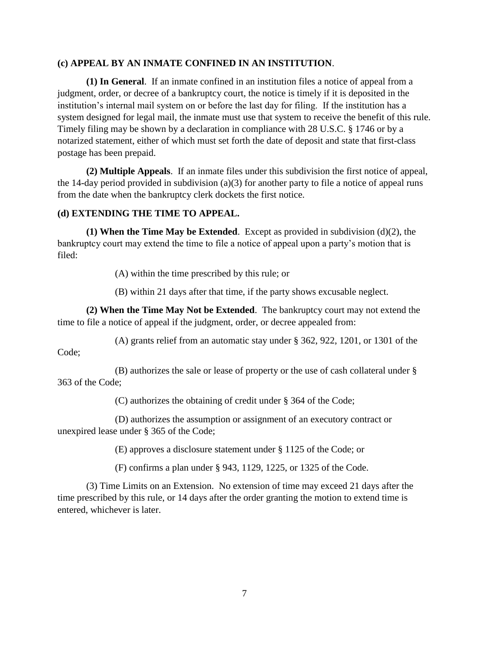#### **(c) APPEAL BY AN INMATE CONFINED IN AN INSTITUTION**.

**(1) In General**. If an inmate confined in an institution files a notice of appeal from a judgment, order, or decree of a bankruptcy court, the notice is timely if it is deposited in the institution's internal mail system on or before the last day for filing. If the institution has a system designed for legal mail, the inmate must use that system to receive the benefit of this rule. Timely filing may be shown by a declaration in compliance with 28 U.S.C. § 1746 or by a notarized statement, either of which must set forth the date of deposit and state that first-class postage has been prepaid.

**(2) Multiple Appeals**. If an inmate files under this subdivision the first notice of appeal, the 14-day period provided in subdivision (a)(3) for another party to file a notice of appeal runs from the date when the bankruptcy clerk dockets the first notice.

#### **(d) EXTENDING THE TIME TO APPEAL.**

**(1) When the Time May be Extended**. Except as provided in subdivision (d)(2), the bankruptcy court may extend the time to file a notice of appeal upon a party's motion that is filed:

(A) within the time prescribed by this rule; or

(B) within 21 days after that time, if the party shows excusable neglect.

**(2) When the Time May Not be Extended**. The bankruptcy court may not extend the time to file a notice of appeal if the judgment, order, or decree appealed from:

(A) grants relief from an automatic stay under § 362, 922, 1201, or 1301 of the

Code;

(B) authorizes the sale or lease of property or the use of cash collateral under § 363 of the Code;

(C) authorizes the obtaining of credit under § 364 of the Code;

(D) authorizes the assumption or assignment of an executory contract or unexpired lease under § 365 of the Code;

(E) approves a disclosure statement under § 1125 of the Code; or

(F) confirms a plan under § 943, 1129, 1225, or 1325 of the Code.

(3) Time Limits on an Extension. No extension of time may exceed 21 days after the time prescribed by this rule, or 14 days after the order granting the motion to extend time is entered, whichever is later.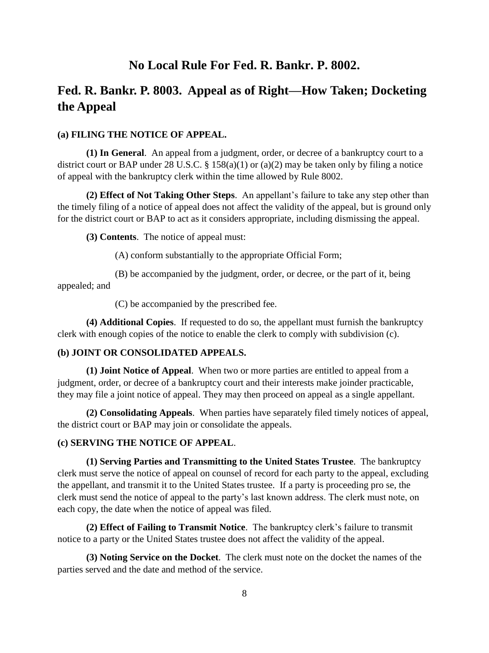### **No Local Rule For Fed. R. Bankr. P. 8002.**

# <span id="page-7-1"></span><span id="page-7-0"></span>**Fed. R. Bankr. P. 8003. Appeal as of Right—How Taken; Docketing the Appeal**

#### **(a) FILING THE NOTICE OF APPEAL.**

**(1) In General**. An appeal from a judgment, order, or decree of a bankruptcy court to a district court or BAP under 28 U.S.C. § 158(a)(1) or (a)(2) may be taken only by filing a notice of appeal with the bankruptcy clerk within the time allowed by Rule 8002.

**(2) Effect of Not Taking Other Steps**. An appellant's failure to take any step other than the timely filing of a notice of appeal does not affect the validity of the appeal, but is ground only for the district court or BAP to act as it considers appropriate, including dismissing the appeal.

**(3) Contents**. The notice of appeal must:

(A) conform substantially to the appropriate Official Form;

(B) be accompanied by the judgment, order, or decree, or the part of it, being appealed; and

(C) be accompanied by the prescribed fee.

**(4) Additional Copies**. If requested to do so, the appellant must furnish the bankruptcy clerk with enough copies of the notice to enable the clerk to comply with subdivision (c).

#### **(b) JOINT OR CONSOLIDATED APPEALS.**

**(1) Joint Notice of Appeal**. When two or more parties are entitled to appeal from a judgment, order, or decree of a bankruptcy court and their interests make joinder practicable, they may file a joint notice of appeal. They may then proceed on appeal as a single appellant.

**(2) Consolidating Appeals**. When parties have separately filed timely notices of appeal, the district court or BAP may join or consolidate the appeals.

#### **(c) SERVING THE NOTICE OF APPEAL**.

**(1) Serving Parties and Transmitting to the United States Trustee**. The bankruptcy clerk must serve the notice of appeal on counsel of record for each party to the appeal, excluding the appellant, and transmit it to the United States trustee. If a party is proceeding pro se, the clerk must send the notice of appeal to the party's last known address. The clerk must note, on each copy, the date when the notice of appeal was filed.

**(2) Effect of Failing to Transmit Notice**. The bankruptcy clerk's failure to transmit notice to a party or the United States trustee does not affect the validity of the appeal.

**(3) Noting Service on the Docket**. The clerk must note on the docket the names of the parties served and the date and method of the service.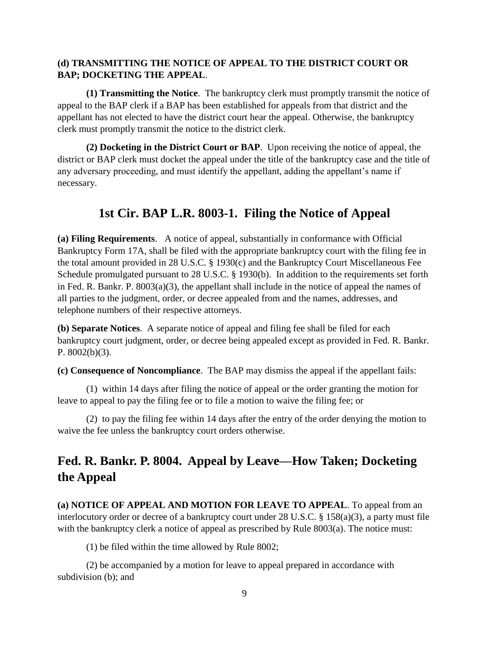#### **(d) TRANSMITTING THE NOTICE OF APPEAL TO THE DISTRICT COURT OR BAP; DOCKETING THE APPEAL**.

**(1) Transmitting the Notice**. The bankruptcy clerk must promptly transmit the notice of appeal to the BAP clerk if a BAP has been established for appeals from that district and the appellant has not elected to have the district court hear the appeal. Otherwise, the bankruptcy clerk must promptly transmit the notice to the district clerk.

**(2) Docketing in the District Court or BAP**. Upon receiving the notice of appeal, the district or BAP clerk must docket the appeal under the title of the bankruptcy case and the title of any adversary proceeding, and must identify the appellant, adding the appellant's name if necessary.

### **1st Cir. BAP L.R. 8003-1. Filing the Notice of Appeal**

<span id="page-8-0"></span>**(a) Filing Requirements**. A notice of appeal, substantially in conformance with Official Bankruptcy Form 17A, shall be filed with the appropriate bankruptcy court with the filing fee in the total amount provided in 28 U.S.C. § 1930(c) and the Bankruptcy Court Miscellaneous Fee Schedule promulgated pursuant to 28 U.S.C. § 1930(b). In addition to the requirements set forth in Fed. R. Bankr. P. 8003(a)(3), the appellant shall include in the notice of appeal the names of all parties to the judgment, order, or decree appealed from and the names, addresses, and telephone numbers of their respective attorneys.

**(b) Separate Notices**. A separate notice of appeal and filing fee shall be filed for each bankruptcy court judgment, order, or decree being appealed except as provided in Fed. R. Bankr. P. 8002(b)(3).

**(c) Consequence of Noncompliance**. The BAP may dismiss the appeal if the appellant fails:

(1) within 14 days after filing the notice of appeal or the order granting the motion for leave to appeal to pay the filing fee or to file a motion to waive the filing fee; or

(2) to pay the filing fee within 14 days after the entry of the order denying the motion to waive the fee unless the bankruptcy court orders otherwise.

# <span id="page-8-1"></span>**Fed. R. Bankr. P. 8004. Appeal by Leave—How Taken; Docketing the Appeal**

**(a) NOTICE OF APPEAL AND MOTION FOR LEAVE TO APPEAL**. To appeal from an interlocutory order or decree of a bankruptcy court under 28 U.S.C. § 158(a)(3), a party must file with the bankruptcy clerk a notice of appeal as prescribed by Rule 8003(a). The notice must:

(1) be filed within the time allowed by Rule 8002;

(2) be accompanied by a motion for leave to appeal prepared in accordance with subdivision (b); and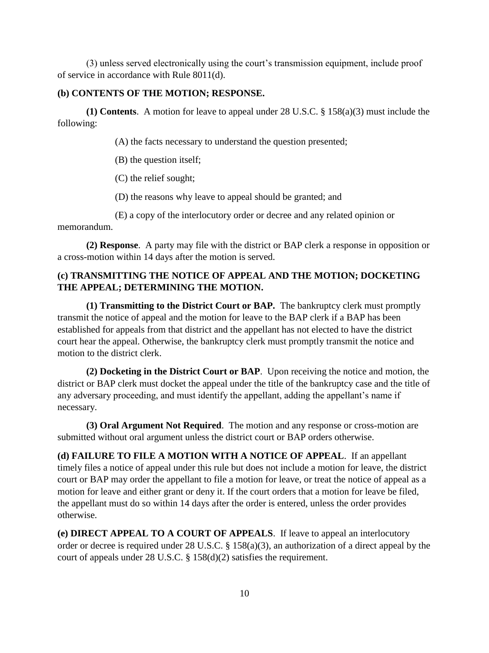(3) unless served electronically using the court's transmission equipment, include proof of service in accordance with Rule 8011(d).

#### **(b) CONTENTS OF THE MOTION; RESPONSE.**

**(1) Contents**. A motion for leave to appeal under 28 U.S.C. § 158(a)(3) must include the following:

(A) the facts necessary to understand the question presented;

(B) the question itself;

(C) the relief sought;

(D) the reasons why leave to appeal should be granted; and

(E) a copy of the interlocutory order or decree and any related opinion or

memorandum.

**(2) Response**. A party may file with the district or BAP clerk a response in opposition or a cross-motion within 14 days after the motion is served.

### **(c) TRANSMITTING THE NOTICE OF APPEAL AND THE MOTION; DOCKETING THE APPEAL; DETERMINING THE MOTION.**

**(1) Transmitting to the District Court or BAP.** The bankruptcy clerk must promptly transmit the notice of appeal and the motion for leave to the BAP clerk if a BAP has been established for appeals from that district and the appellant has not elected to have the district court hear the appeal. Otherwise, the bankruptcy clerk must promptly transmit the notice and motion to the district clerk.

**(2) Docketing in the District Court or BAP**. Upon receiving the notice and motion, the district or BAP clerk must docket the appeal under the title of the bankruptcy case and the title of any adversary proceeding, and must identify the appellant, adding the appellant's name if necessary.

**(3) Oral Argument Not Required**. The motion and any response or cross-motion are submitted without oral argument unless the district court or BAP orders otherwise.

**(d) FAILURE TO FILE A MOTION WITH A NOTICE OF APPEAL**. If an appellant timely files a notice of appeal under this rule but does not include a motion for leave, the district court or BAP may order the appellant to file a motion for leave, or treat the notice of appeal as a motion for leave and either grant or deny it. If the court orders that a motion for leave be filed, the appellant must do so within 14 days after the order is entered, unless the order provides otherwise.

**(e) DIRECT APPEAL TO A COURT OF APPEALS**. If leave to appeal an interlocutory order or decree is required under 28 U.S.C. § 158(a)(3), an authorization of a direct appeal by the court of appeals under 28 U.S.C. § 158(d)(2) satisfies the requirement.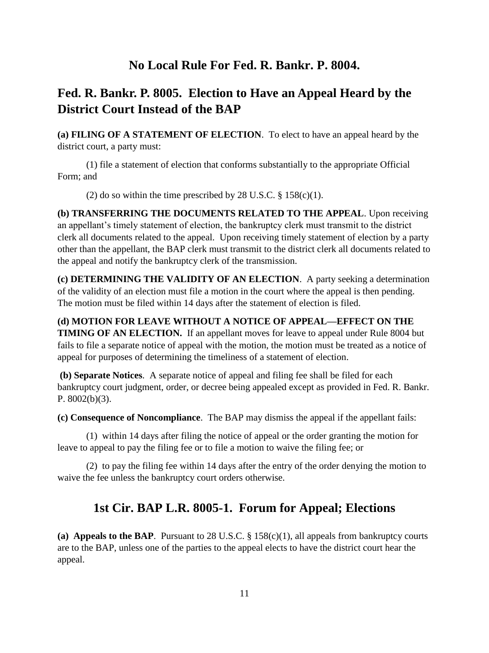### **No Local Rule For Fed. R. Bankr. P. 8004.**

## <span id="page-10-1"></span><span id="page-10-0"></span>**Fed. R. Bankr. P. 8005. Election to Have an Appeal Heard by the District Court Instead of the BAP**

**(a) FILING OF A STATEMENT OF ELECTION**. To elect to have an appeal heard by the district court, a party must:

(1) file a statement of election that conforms substantially to the appropriate Official Form; and

(2) do so within the time prescribed by 28 U.S.C.  $\S$  158(c)(1).

**(b) TRANSFERRING THE DOCUMENTS RELATED TO THE APPEAL**. Upon receiving an appellant's timely statement of election, the bankruptcy clerk must transmit to the district clerk all documents related to the appeal. Upon receiving timely statement of election by a party other than the appellant, the BAP clerk must transmit to the district clerk all documents related to the appeal and notify the bankruptcy clerk of the transmission.

**(c) DETERMINING THE VALIDITY OF AN ELECTION**. A party seeking a determination of the validity of an election must file a motion in the court where the appeal is then pending. The motion must be filed within 14 days after the statement of election is filed.

**(d) MOTION FOR LEAVE WITHOUT A NOTICE OF APPEAL—EFFECT ON THE** 

**TIMING OF AN ELECTION.** If an appellant moves for leave to appeal under Rule 8004 but fails to file a separate notice of appeal with the motion, the motion must be treated as a notice of appeal for purposes of determining the timeliness of a statement of election.

**(b) Separate Notices**. A separate notice of appeal and filing fee shall be filed for each bankruptcy court judgment, order, or decree being appealed except as provided in Fed. R. Bankr. P. 8002(b)(3).

**(c) Consequence of Noncompliance**. The BAP may dismiss the appeal if the appellant fails:

(1) within 14 days after filing the notice of appeal or the order granting the motion for leave to appeal to pay the filing fee or to file a motion to waive the filing fee; or

<span id="page-10-2"></span>(2) to pay the filing fee within 14 days after the entry of the order denying the motion to waive the fee unless the bankruptcy court orders otherwise.

## **1st Cir. BAP L.R. 8005-1. Forum for Appeal; Elections**

**(a) Appeals to the BAP**. Pursuant to 28 U.S.C. § 158(c)(1), all appeals from bankruptcy courts are to the BAP, unless one of the parties to the appeal elects to have the district court hear the appeal.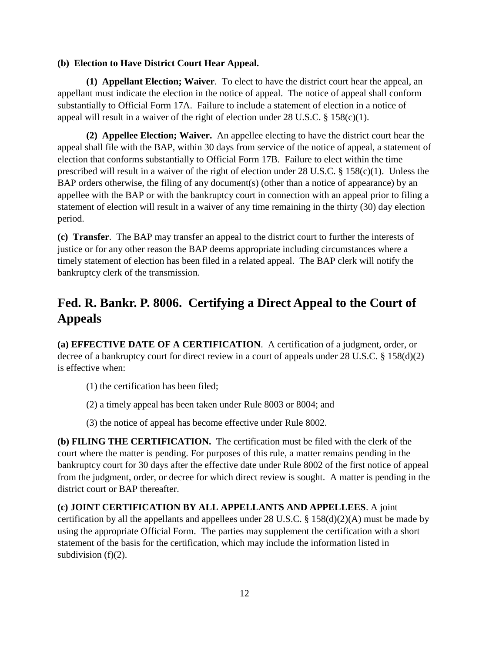#### **(b) Election to Have District Court Hear Appeal.**

**(1) Appellant Election; Waiver**. To elect to have the district court hear the appeal, an appellant must indicate the election in the notice of appeal. The notice of appeal shall conform substantially to Official Form 17A. Failure to include a statement of election in a notice of appeal will result in a waiver of the right of election under 28 U.S.C. § 158(c)(1).

**(2) Appellee Election; Waiver.** An appellee electing to have the district court hear the appeal shall file with the BAP, within 30 days from service of the notice of appeal, a statement of election that conforms substantially to Official Form 17B. Failure to elect within the time prescribed will result in a waiver of the right of election under 28 U.S.C. § 158(c)(1). Unless the BAP orders otherwise, the filing of any document(s) (other than a notice of appearance) by an appellee with the BAP or with the bankruptcy court in connection with an appeal prior to filing a statement of election will result in a waiver of any time remaining in the thirty (30) day election period.

**(c) Transfer**. The BAP may transfer an appeal to the district court to further the interests of justice or for any other reason the BAP deems appropriate including circumstances where a timely statement of election has been filed in a related appeal. The BAP clerk will notify the bankruptcy clerk of the transmission.

# <span id="page-11-0"></span>**Fed. R. Bankr. P. 8006. Certifying a Direct Appeal to the Court of Appeals**

**(a) EFFECTIVE DATE OF A CERTIFICATION**. A certification of a judgment, order, or decree of a bankruptcy court for direct review in a court of appeals under 28 U.S.C. § 158(d)(2) is effective when:

- (1) the certification has been filed;
- (2) a timely appeal has been taken under Rule 8003 or 8004; and
- (3) the notice of appeal has become effective under Rule 8002.

**(b) FILING THE CERTIFICATION.** The certification must be filed with the clerk of the court where the matter is pending. For purposes of this rule, a matter remains pending in the bankruptcy court for 30 days after the effective date under Rule 8002 of the first notice of appeal from the judgment, order, or decree for which direct review is sought. A matter is pending in the district court or BAP thereafter.

**(c) JOINT CERTIFICATION BY ALL APPELLANTS AND APPELLEES**. A joint certification by all the appellants and appellees under 28 U.S.C. § 158(d)(2)(A) must be made by using the appropriate Official Form. The parties may supplement the certification with a short statement of the basis for the certification, which may include the information listed in subdivision  $(f)(2)$ .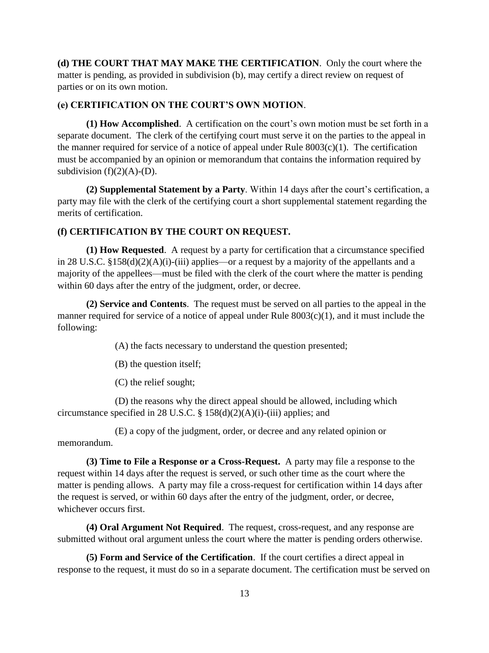**(d) THE COURT THAT MAY MAKE THE CERTIFICATION**. Only the court where the matter is pending, as provided in subdivision (b), may certify a direct review on request of parties or on its own motion.

#### **(e) CERTIFICATION ON THE COURT'S OWN MOTION**.

**(1) How Accomplished**. A certification on the court's own motion must be set forth in a separate document. The clerk of the certifying court must serve it on the parties to the appeal in the manner required for service of a notice of appeal under Rule  $8003(c)(1)$ . The certification must be accompanied by an opinion or memorandum that contains the information required by subdivision  $(f)(2)(A)-(D)$ .

**(2) Supplemental Statement by a Party**. Within 14 days after the court's certification, a party may file with the clerk of the certifying court a short supplemental statement regarding the merits of certification.

#### **(f) CERTIFICATION BY THE COURT ON REQUEST.**

**(1) How Requested**. A request by a party for certification that a circumstance specified in 28 U.S.C. §158(d)(2)(A)(i)-(iii) applies—or a request by a majority of the appellants and a majority of the appellees—must be filed with the clerk of the court where the matter is pending within 60 days after the entry of the judgment, order, or decree.

**(2) Service and Contents**. The request must be served on all parties to the appeal in the manner required for service of a notice of appeal under Rule 8003(c)(1), and it must include the following:

(A) the facts necessary to understand the question presented;

(B) the question itself;

(C) the relief sought;

(D) the reasons why the direct appeal should be allowed, including which circumstance specified in 28 U.S.C. § 158(d)(2)(A)(i)-(iii) applies; and

(E) a copy of the judgment, order, or decree and any related opinion or memorandum.

**(3) Time to File a Response or a Cross-Request.** A party may file a response to the request within 14 days after the request is served, or such other time as the court where the matter is pending allows. A party may file a cross-request for certification within 14 days after the request is served, or within 60 days after the entry of the judgment, order, or decree, whichever occurs first.

**(4) Oral Argument Not Required**. The request, cross-request, and any response are submitted without oral argument unless the court where the matter is pending orders otherwise.

**(5) Form and Service of the Certification**. If the court certifies a direct appeal in response to the request, it must do so in a separate document. The certification must be served on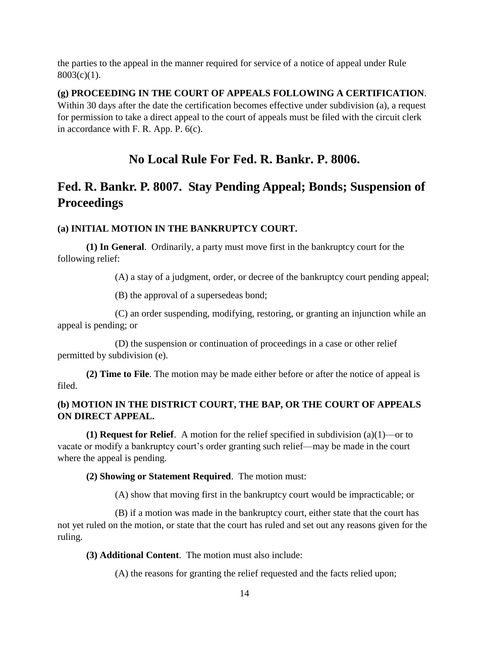the parties to the appeal in the manner required for service of a notice of appeal under Rule  $8003(c)(1)$ .

**(g) PROCEEDING IN THE COURT OF APPEALS FOLLOWING A CERTIFICATION**. Within 30 days after the date the certification becomes effective under subdivision (a), a request for permission to take a direct appeal to the court of appeals must be filed with the circuit clerk in accordance with F. R. App. P. 6(c).

### **No Local Rule For Fed. R. Bankr. P. 8006.**

# <span id="page-13-1"></span><span id="page-13-0"></span>**Fed. R. Bankr. P. 8007. Stay Pending Appeal; Bonds; Suspension of Proceedings**

### **(a) INITIAL MOTION IN THE BANKRUPTCY COURT.**

**(1) In General**. Ordinarily, a party must move first in the bankruptcy court for the following relief:

(A) a stay of a judgment, order, or decree of the bankruptcy court pending appeal;

(B) the approval of a supersedeas bond;

(C) an order suspending, modifying, restoring, or granting an injunction while an appeal is pending; or

(D) the suspension or continuation of proceedings in a case or other relief permitted by subdivision (e).

**(2) Time to File**. The motion may be made either before or after the notice of appeal is filed.

### **(b) MOTION IN THE DISTRICT COURT, THE BAP, OR THE COURT OF APPEALS ON DIRECT APPEAL.**

**(1) Request for Relief**. A motion for the relief specified in subdivision (a)(1)—or to vacate or modify a bankruptcy court's order granting such relief—may be made in the court where the appeal is pending.

**(2) Showing or Statement Required**. The motion must:

(A) show that moving first in the bankruptcy court would be impracticable; or

(B) if a motion was made in the bankruptcy court, either state that the court has not yet ruled on the motion, or state that the court has ruled and set out any reasons given for the ruling.

**(3) Additional Content**. The motion must also include:

(A) the reasons for granting the relief requested and the facts relied upon;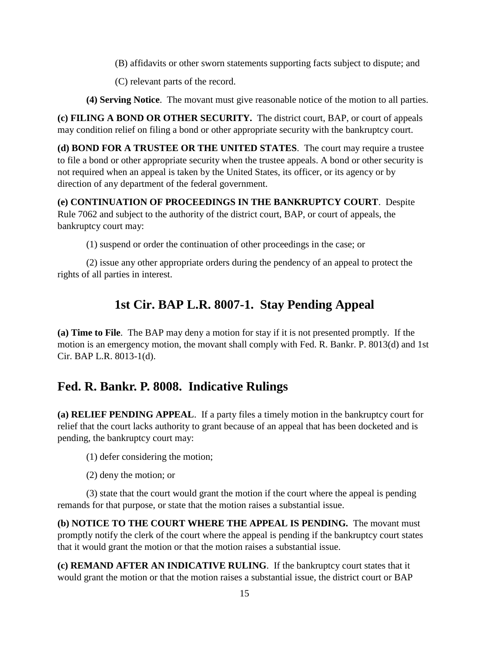(B) affidavits or other sworn statements supporting facts subject to dispute; and

(C) relevant parts of the record.

**(4) Serving Notice**. The movant must give reasonable notice of the motion to all parties.

**(c) FILING A BOND OR OTHER SECURITY.** The district court, BAP, or court of appeals may condition relief on filing a bond or other appropriate security with the bankruptcy court.

**(d) BOND FOR A TRUSTEE OR THE UNITED STATES**. The court may require a trustee to file a bond or other appropriate security when the trustee appeals. A bond or other security is not required when an appeal is taken by the United States, its officer, or its agency or by direction of any department of the federal government.

**(e) CONTINUATION OF PROCEEDINGS IN THE BANKRUPTCY COURT**. Despite Rule 7062 and subject to the authority of the district court, BAP, or court of appeals, the bankruptcy court may:

(1) suspend or order the continuation of other proceedings in the case; or

<span id="page-14-0"></span>(2) issue any other appropriate orders during the pendency of an appeal to protect the rights of all parties in interest.

### **1st Cir. BAP L.R. 8007-1. Stay Pending Appeal**

**(a) Time to File**. The BAP may deny a motion for stay if it is not presented promptly. If the motion is an emergency motion, the movant shall comply with Fed. R. Bankr. P. 8013(d) and 1st Cir. BAP L.R. 8013-1(d).

## <span id="page-14-1"></span>**Fed. R. Bankr. P. 8008. Indicative Rulings**

**(a) RELIEF PENDING APPEAL**. If a party files a timely motion in the bankruptcy court for relief that the court lacks authority to grant because of an appeal that has been docketed and is pending, the bankruptcy court may:

(1) defer considering the motion;

(2) deny the motion; or

(3) state that the court would grant the motion if the court where the appeal is pending remands for that purpose, or state that the motion raises a substantial issue.

**(b) NOTICE TO THE COURT WHERE THE APPEAL IS PENDING.** The movant must promptly notify the clerk of the court where the appeal is pending if the bankruptcy court states that it would grant the motion or that the motion raises a substantial issue.

**(c) REMAND AFTER AN INDICATIVE RULING**. If the bankruptcy court states that it would grant the motion or that the motion raises a substantial issue, the district court or BAP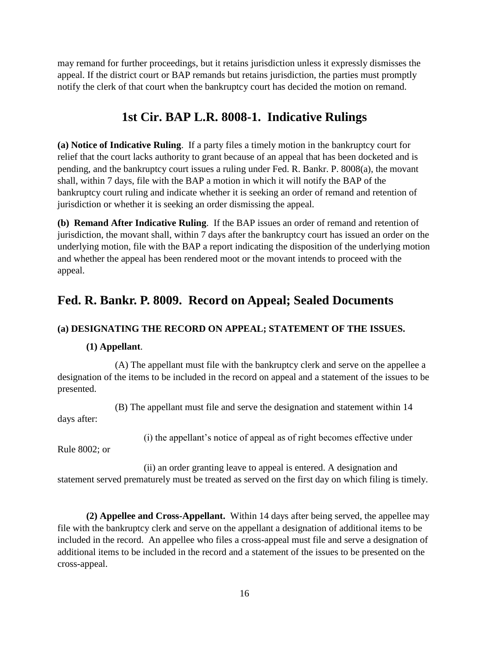may remand for further proceedings, but it retains jurisdiction unless it expressly dismisses the appeal. If the district court or BAP remands but retains jurisdiction, the parties must promptly notify the clerk of that court when the bankruptcy court has decided the motion on remand.

## **1st Cir. BAP L.R. 8008-1. Indicative Rulings**

<span id="page-15-0"></span>**(a) Notice of Indicative Ruling**. If a party files a timely motion in the bankruptcy court for relief that the court lacks authority to grant because of an appeal that has been docketed and is pending, and the bankruptcy court issues a ruling under Fed. R. Bankr. P. 8008(a), the movant shall, within 7 days, file with the BAP a motion in which it will notify the BAP of the bankruptcy court ruling and indicate whether it is seeking an order of remand and retention of jurisdiction or whether it is seeking an order dismissing the appeal.

**(b) Remand After Indicative Ruling**. If the BAP issues an order of remand and retention of jurisdiction, the movant shall, within 7 days after the bankruptcy court has issued an order on the underlying motion, file with the BAP a report indicating the disposition of the underlying motion and whether the appeal has been rendered moot or the movant intends to proceed with the appeal.

## <span id="page-15-1"></span>**Fed. R. Bankr. P. 8009. Record on Appeal; Sealed Documents**

### **(a) DESIGNATING THE RECORD ON APPEAL; STATEMENT OF THE ISSUES.**

### **(1) Appellant**.

(A) The appellant must file with the bankruptcy clerk and serve on the appellee a designation of the items to be included in the record on appeal and a statement of the issues to be presented.

(B) The appellant must file and serve the designation and statement within 14

days after:

(i) the appellant's notice of appeal as of right becomes effective under

Rule 8002; or

(ii) an order granting leave to appeal is entered. A designation and statement served prematurely must be treated as served on the first day on which filing is timely.

**(2) Appellee and Cross-Appellant.** Within 14 days after being served, the appellee may file with the bankruptcy clerk and serve on the appellant a designation of additional items to be included in the record. An appellee who files a cross-appeal must file and serve a designation of additional items to be included in the record and a statement of the issues to be presented on the cross-appeal.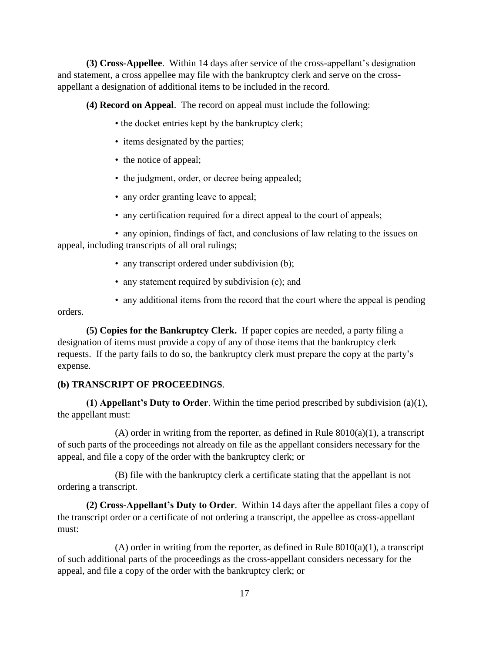**(3) Cross-Appellee**. Within 14 days after service of the cross-appellant's designation and statement, a cross appellee may file with the bankruptcy clerk and serve on the crossappellant a designation of additional items to be included in the record.

**(4) Record on Appeal**. The record on appeal must include the following:

- the docket entries kept by the bankruptcy clerk;
- items designated by the parties;
- the notice of appeal;
- the judgment, order, or decree being appealed;
- any order granting leave to appeal;
- any certification required for a direct appeal to the court of appeals;

• any opinion, findings of fact, and conclusions of law relating to the issues on appeal, including transcripts of all oral rulings;

- any transcript ordered under subdivision (b);
- any statement required by subdivision (c); and
- any additional items from the record that the court where the appeal is pending

orders.

**(5) Copies for the Bankruptcy Clerk.** If paper copies are needed, a party filing a designation of items must provide a copy of any of those items that the bankruptcy clerk requests. If the party fails to do so, the bankruptcy clerk must prepare the copy at the party's expense.

### **(b) TRANSCRIPT OF PROCEEDINGS**.

**(1) Appellant's Duty to Order**. Within the time period prescribed by subdivision (a)(1), the appellant must:

 $(A)$  order in writing from the reporter, as defined in Rule  $8010(a)(1)$ , a transcript of such parts of the proceedings not already on file as the appellant considers necessary for the appeal, and file a copy of the order with the bankruptcy clerk; or

(B) file with the bankruptcy clerk a certificate stating that the appellant is not ordering a transcript.

**(2) Cross-Appellant's Duty to Order**. Within 14 days after the appellant files a copy of the transcript order or a certificate of not ordering a transcript, the appellee as cross-appellant must:

(A) order in writing from the reporter, as defined in Rule  $8010(a)(1)$ , a transcript of such additional parts of the proceedings as the cross-appellant considers necessary for the appeal, and file a copy of the order with the bankruptcy clerk; or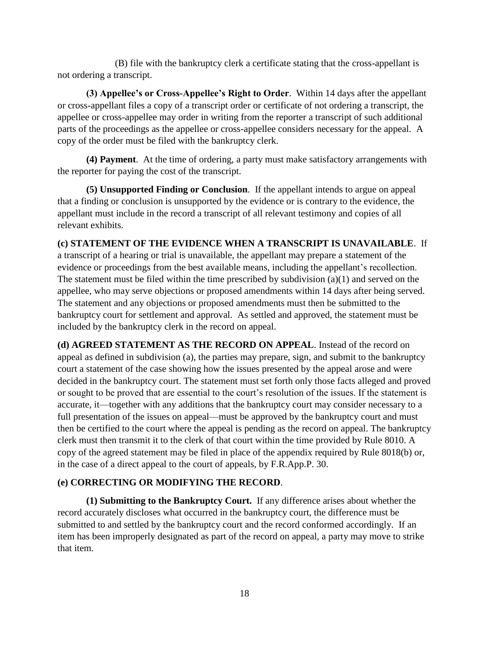(B) file with the bankruptcy clerk a certificate stating that the cross-appellant is not ordering a transcript.

**(3) Appellee's or Cross-Appellee's Right to Order**. Within 14 days after the appellant or cross-appellant files a copy of a transcript order or certificate of not ordering a transcript, the appellee or cross-appellee may order in writing from the reporter a transcript of such additional parts of the proceedings as the appellee or cross-appellee considers necessary for the appeal. A copy of the order must be filed with the bankruptcy clerk.

**(4) Payment**. At the time of ordering, a party must make satisfactory arrangements with the reporter for paying the cost of the transcript.

**(5) Unsupported Finding or Conclusion**. If the appellant intends to argue on appeal that a finding or conclusion is unsupported by the evidence or is contrary to the evidence, the appellant must include in the record a transcript of all relevant testimony and copies of all relevant exhibits.

**(c) STATEMENT OF THE EVIDENCE WHEN A TRANSCRIPT IS UNAVAILABLE**. If a transcript of a hearing or trial is unavailable, the appellant may prepare a statement of the evidence or proceedings from the best available means, including the appellant's recollection. The statement must be filed within the time prescribed by subdivision (a)(1) and served on the appellee, who may serve objections or proposed amendments within 14 days after being served. The statement and any objections or proposed amendments must then be submitted to the bankruptcy court for settlement and approval. As settled and approved, the statement must be included by the bankruptcy clerk in the record on appeal.

**(d) AGREED STATEMENT AS THE RECORD ON APPEAL**. Instead of the record on appeal as defined in subdivision (a), the parties may prepare, sign, and submit to the bankruptcy court a statement of the case showing how the issues presented by the appeal arose and were decided in the bankruptcy court. The statement must set forth only those facts alleged and proved or sought to be proved that are essential to the court's resolution of the issues. If the statement is accurate, it—together with any additions that the bankruptcy court may consider necessary to a full presentation of the issues on appeal—must be approved by the bankruptcy court and must then be certified to the court where the appeal is pending as the record on appeal. The bankruptcy clerk must then transmit it to the clerk of that court within the time provided by Rule 8010. A copy of the agreed statement may be filed in place of the appendix required by Rule 8018(b) or, in the case of a direct appeal to the court of appeals, by F.R.App.P. 30.

#### **(e) CORRECTING OR MODIFYING THE RECORD**.

**(1) Submitting to the Bankruptcy Court.** If any difference arises about whether the record accurately discloses what occurred in the bankruptcy court, the difference must be submitted to and settled by the bankruptcy court and the record conformed accordingly. If an item has been improperly designated as part of the record on appeal, a party may move to strike that item.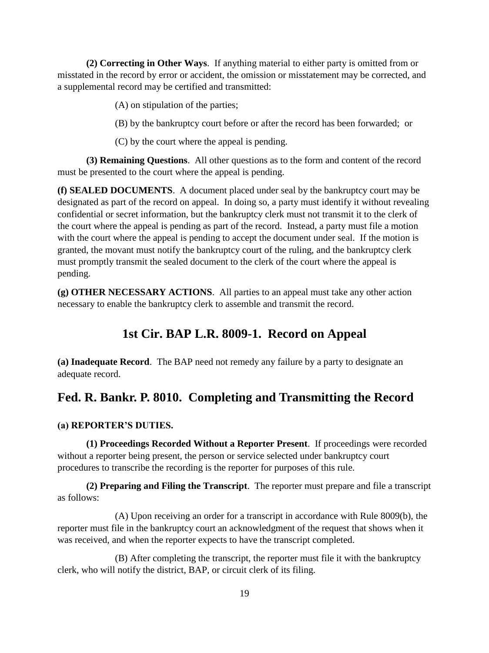**(2) Correcting in Other Ways**. If anything material to either party is omitted from or misstated in the record by error or accident, the omission or misstatement may be corrected, and a supplemental record may be certified and transmitted:

(A) on stipulation of the parties;

(B) by the bankruptcy court before or after the record has been forwarded; or

(C) by the court where the appeal is pending.

**(3) Remaining Questions**. All other questions as to the form and content of the record must be presented to the court where the appeal is pending.

**(f) SEALED DOCUMENTS**. A document placed under seal by the bankruptcy court may be designated as part of the record on appeal. In doing so, a party must identify it without revealing confidential or secret information, but the bankruptcy clerk must not transmit it to the clerk of the court where the appeal is pending as part of the record. Instead, a party must file a motion with the court where the appeal is pending to accept the document under seal. If the motion is granted, the movant must notify the bankruptcy court of the ruling, and the bankruptcy clerk must promptly transmit the sealed document to the clerk of the court where the appeal is pending.

<span id="page-18-0"></span>**(g) OTHER NECESSARY ACTIONS**. All parties to an appeal must take any other action necessary to enable the bankruptcy clerk to assemble and transmit the record.

## **1st Cir. BAP L.R. 8009-1. Record on Appeal**

**(a) Inadequate Record**. The BAP need not remedy any failure by a party to designate an adequate record.

## <span id="page-18-1"></span>**Fed. R. Bankr. P. 8010. Completing and Transmitting the Record**

### **(a) REPORTER'S DUTIES.**

**(1) Proceedings Recorded Without a Reporter Present**. If proceedings were recorded without a reporter being present, the person or service selected under bankruptcy court procedures to transcribe the recording is the reporter for purposes of this rule.

**(2) Preparing and Filing the Transcript**. The reporter must prepare and file a transcript as follows:

(A) Upon receiving an order for a transcript in accordance with Rule 8009(b), the reporter must file in the bankruptcy court an acknowledgment of the request that shows when it was received, and when the reporter expects to have the transcript completed.

(B) After completing the transcript, the reporter must file it with the bankruptcy clerk, who will notify the district, BAP, or circuit clerk of its filing.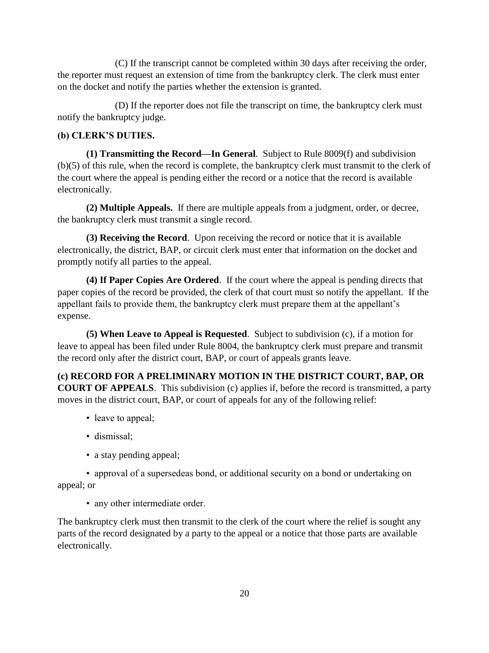(C) If the transcript cannot be completed within 30 days after receiving the order, the reporter must request an extension of time from the bankruptcy clerk. The clerk must enter on the docket and notify the parties whether the extension is granted.

(D) If the reporter does not file the transcript on time, the bankruptcy clerk must notify the bankruptcy judge.

### **(b) CLERK'S DUTIES.**

**(1) Transmitting the Record—In General**. Subject to Rule 8009(f) and subdivision (b)(5) of this rule, when the record is complete, the bankruptcy clerk must transmit to the clerk of the court where the appeal is pending either the record or a notice that the record is available electronically.

**(2) Multiple Appeals.** If there are multiple appeals from a judgment, order, or decree, the bankruptcy clerk must transmit a single record.

**(3) Receiving the Record**. Upon receiving the record or notice that it is available electronically, the district, BAP, or circuit clerk must enter that information on the docket and promptly notify all parties to the appeal.

**(4) If Paper Copies Are Ordered**. If the court where the appeal is pending directs that paper copies of the record be provided, the clerk of that court must so notify the appellant. If the appellant fails to provide them, the bankruptcy clerk must prepare them at the appellant's expense.

**(5) When Leave to Appeal is Requested**. Subject to subdivision (c), if a motion for leave to appeal has been filed under Rule 8004, the bankruptcy clerk must prepare and transmit the record only after the district court, BAP, or court of appeals grants leave.

**(c) RECORD FOR A PRELIMINARY MOTION IN THE DISTRICT COURT, BAP, OR COURT OF APPEALS**. This subdivision (c) applies if, before the record is transmitted, a party moves in the district court, BAP, or court of appeals for any of the following relief:

- leave to appeal;
- dismissal:
- a stay pending appeal;

• approval of a supersedeas bond, or additional security on a bond or undertaking on appeal; or

• any other intermediate order.

The bankruptcy clerk must then transmit to the clerk of the court where the relief is sought any parts of the record designated by a party to the appeal or a notice that those parts are available electronically.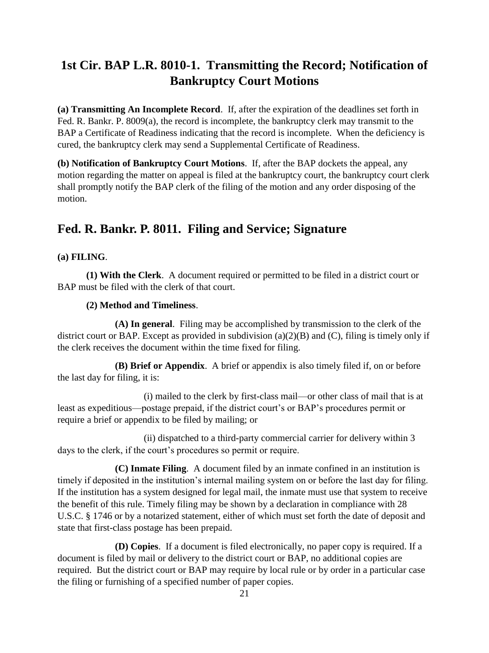# <span id="page-20-0"></span>**1st Cir. BAP L.R. 8010-1. Transmitting the Record; Notification of Bankruptcy Court Motions**

**(a) Transmitting An Incomplete Record**. If, after the expiration of the deadlines set forth in Fed. R. Bankr. P. 8009(a), the record is incomplete, the bankruptcy clerk may transmit to the BAP a Certificate of Readiness indicating that the record is incomplete. When the deficiency is cured, the bankruptcy clerk may send a Supplemental Certificate of Readiness.

**(b) Notification of Bankruptcy Court Motions**. If, after the BAP dockets the appeal, any motion regarding the matter on appeal is filed at the bankruptcy court, the bankruptcy court clerk shall promptly notify the BAP clerk of the filing of the motion and any order disposing of the motion.

## <span id="page-20-1"></span>**Fed. R. Bankr. P. 8011. Filing and Service; Signature**

### **(a) FILING**.

**(1) With the Clerk**. A document required or permitted to be filed in a district court or BAP must be filed with the clerk of that court.

#### **(2) Method and Timeliness**.

**(A) In general**. Filing may be accomplished by transmission to the clerk of the district court or BAP. Except as provided in subdivision (a)(2)(B) and (C), filing is timely only if the clerk receives the document within the time fixed for filing.

**(B) Brief or Appendix**. A brief or appendix is also timely filed if, on or before the last day for filing, it is:

(i) mailed to the clerk by first-class mail—or other class of mail that is at least as expeditious—postage prepaid, if the district court's or BAP's procedures permit or require a brief or appendix to be filed by mailing; or

(ii) dispatched to a third-party commercial carrier for delivery within 3 days to the clerk, if the court's procedures so permit or require.

**(C) Inmate Filing**. A document filed by an inmate confined in an institution is timely if deposited in the institution's internal mailing system on or before the last day for filing. If the institution has a system designed for legal mail, the inmate must use that system to receive the benefit of this rule. Timely filing may be shown by a declaration in compliance with 28 U.S.C. § 1746 or by a notarized statement, either of which must set forth the date of deposit and state that first-class postage has been prepaid.

**(D) Copies**. If a document is filed electronically, no paper copy is required. If a document is filed by mail or delivery to the district court or BAP, no additional copies are required. But the district court or BAP may require by local rule or by order in a particular case the filing or furnishing of a specified number of paper copies.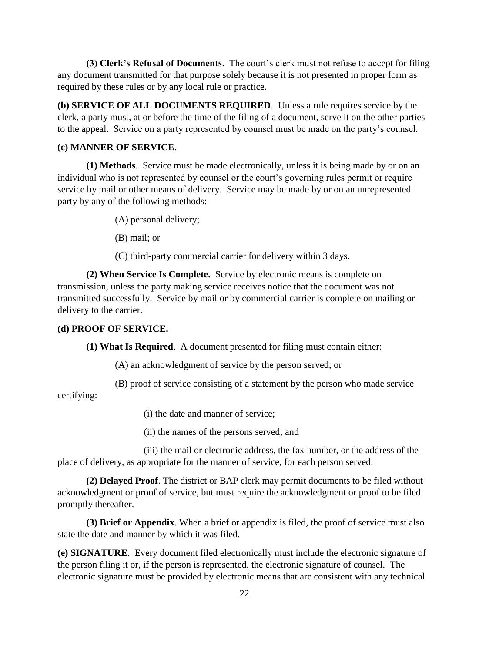**(3) Clerk's Refusal of Documents**. The court's clerk must not refuse to accept for filing any document transmitted for that purpose solely because it is not presented in proper form as required by these rules or by any local rule or practice.

**(b) SERVICE OF ALL DOCUMENTS REQUIRED**. Unless a rule requires service by the clerk, a party must, at or before the time of the filing of a document, serve it on the other parties to the appeal. Service on a party represented by counsel must be made on the party's counsel.

### **(c) MANNER OF SERVICE**.

**(1) Methods**. Service must be made electronically, unless it is being made by or on an individual who is not represented by counsel or the court's governing rules permit or require service by mail or other means of delivery. Service may be made by or on an unrepresented party by any of the following methods:

(A) personal delivery;

(B) mail; or

(C) third-party commercial carrier for delivery within 3 days.

**(2) When Service Is Complete.** Service by electronic means is complete on transmission, unless the party making service receives notice that the document was not transmitted successfully. Service by mail or by commercial carrier is complete on mailing or delivery to the carrier.

#### **(d) PROOF OF SERVICE.**

**(1) What Is Required**. A document presented for filing must contain either:

(A) an acknowledgment of service by the person served; or

(B) proof of service consisting of a statement by the person who made service

certifying:

(i) the date and manner of service;

(ii) the names of the persons served; and

(iii) the mail or electronic address, the fax number, or the address of the place of delivery, as appropriate for the manner of service, for each person served.

**(2) Delayed Proof**. The district or BAP clerk may permit documents to be filed without acknowledgment or proof of service, but must require the acknowledgment or proof to be filed promptly thereafter.

**(3) Brief or Appendix**. When a brief or appendix is filed, the proof of service must also state the date and manner by which it was filed.

**(e) SIGNATURE**. Every document filed electronically must include the electronic signature of the person filing it or, if the person is represented, the electronic signature of counsel. The electronic signature must be provided by electronic means that are consistent with any technical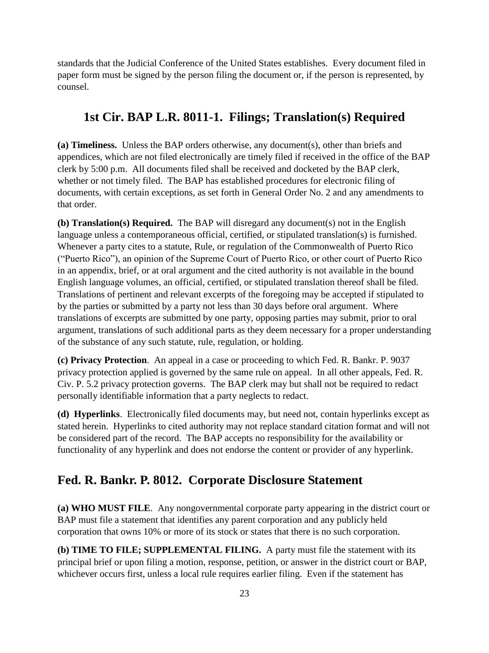standards that the Judicial Conference of the United States establishes. Every document filed in paper form must be signed by the person filing the document or, if the person is represented, by counsel.

### <span id="page-22-0"></span>**1st Cir. BAP L.R. 8011-1. Filings; Translation(s) Required**

**(a) Timeliness.** Unless the BAP orders otherwise, any document(s), other than briefs and appendices, which are not filed electronically are timely filed if received in the office of the BAP clerk by 5:00 p.m. All documents filed shall be received and docketed by the BAP clerk, whether or not timely filed. The BAP has established procedures for electronic filing of documents, with certain exceptions, as set forth in General Order No. 2 and any amendments to that order.

**(b) Translation(s) Required.** The BAP will disregard any document(s) not in the English language unless a contemporaneous official, certified, or stipulated translation(s) is furnished. Whenever a party cites to a statute, Rule, or regulation of the Commonwealth of Puerto Rico ("Puerto Rico"), an opinion of the Supreme Court of Puerto Rico, or other court of Puerto Rico in an appendix, brief, or at oral argument and the cited authority is not available in the bound English language volumes, an official, certified, or stipulated translation thereof shall be filed. Translations of pertinent and relevant excerpts of the foregoing may be accepted if stipulated to by the parties or submitted by a party not less than 30 days before oral argument. Where translations of excerpts are submitted by one party, opposing parties may submit, prior to oral argument, translations of such additional parts as they deem necessary for a proper understanding of the substance of any such statute, rule, regulation, or holding.

**(c) Privacy Protection**. An appeal in a case or proceeding to which Fed. R. Bankr. P. 9037 privacy protection applied is governed by the same rule on appeal. In all other appeals, Fed. R. Civ. P. 5.2 privacy protection governs. The BAP clerk may but shall not be required to redact personally identifiable information that a party neglects to redact.

**(d) Hyperlinks**. Electronically filed documents may, but need not, contain hyperlinks except as stated herein. Hyperlinks to cited authority may not replace standard citation format and will not be considered part of the record. The BAP accepts no responsibility for the availability or functionality of any hyperlink and does not endorse the content or provider of any hyperlink.

## <span id="page-22-1"></span>**Fed. R. Bankr. P. 8012. Corporate Disclosure Statement**

**(a) WHO MUST FILE**. Any nongovernmental corporate party appearing in the district court or BAP must file a statement that identifies any parent corporation and any publicly held corporation that owns 10% or more of its stock or states that there is no such corporation.

**(b) TIME TO FILE; SUPPLEMENTAL FILING.** A party must file the statement with its principal brief or upon filing a motion, response, petition, or answer in the district court or BAP, whichever occurs first, unless a local rule requires earlier filing. Even if the statement has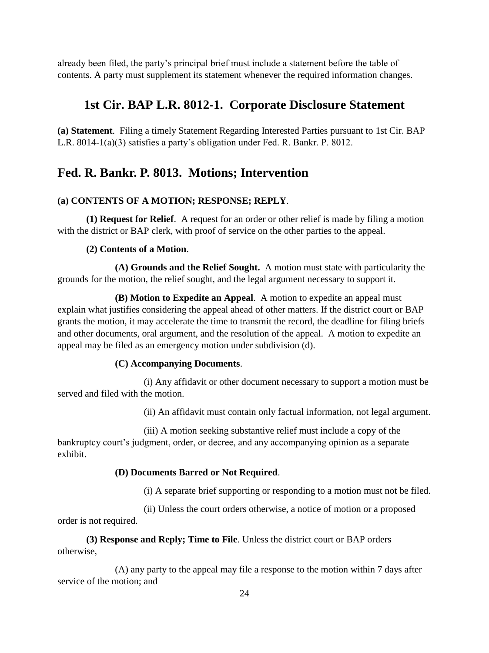<span id="page-23-0"></span>already been filed, the party's principal brief must include a statement before the table of contents. A party must supplement its statement whenever the required information changes.

### **1st Cir. BAP L.R. 8012-1. Corporate Disclosure Statement**

**(a) Statement**. Filing a timely Statement Regarding Interested Parties pursuant to 1st Cir. BAP L.R. 8014-1(a)(3) satisfies a party's obligation under Fed. R. Bankr. P. 8012.

## <span id="page-23-1"></span>**Fed. R. Bankr. P. 8013. Motions; Intervention**

### **(a) CONTENTS OF A MOTION; RESPONSE; REPLY**.

**(1) Request for Relief**. A request for an order or other relief is made by filing a motion with the district or BAP clerk, with proof of service on the other parties to the appeal.

#### **(2) Contents of a Motion**.

**(A) Grounds and the Relief Sought.** A motion must state with particularity the grounds for the motion, the relief sought, and the legal argument necessary to support it.

**(B) Motion to Expedite an Appeal**. A motion to expedite an appeal must explain what justifies considering the appeal ahead of other matters. If the district court or BAP grants the motion, it may accelerate the time to transmit the record, the deadline for filing briefs and other documents, oral argument, and the resolution of the appeal. A motion to expedite an appeal may be filed as an emergency motion under subdivision (d).

### **(C) Accompanying Documents**.

(i) Any affidavit or other document necessary to support a motion must be served and filed with the motion.

(ii) An affidavit must contain only factual information, not legal argument.

(iii) A motion seeking substantive relief must include a copy of the bankruptcy court's judgment, order, or decree, and any accompanying opinion as a separate exhibit.

#### **(D) Documents Barred or Not Required**.

(i) A separate brief supporting or responding to a motion must not be filed.

(ii) Unless the court orders otherwise, a notice of motion or a proposed

order is not required.

**(3) Response and Reply; Time to File**. Unless the district court or BAP orders otherwise,

(A) any party to the appeal may file a response to the motion within 7 days after service of the motion; and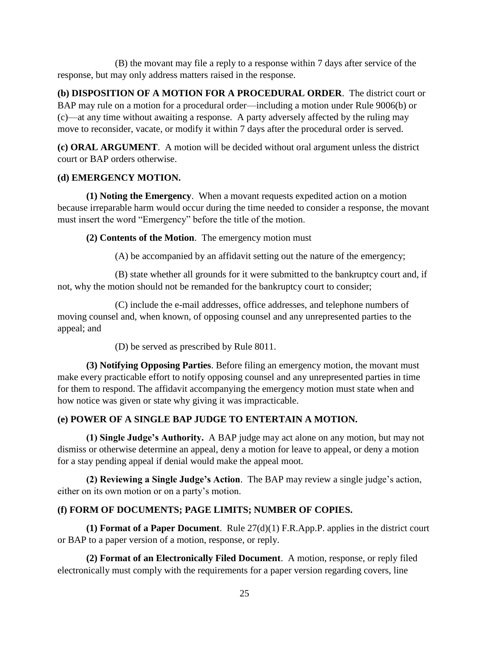(B) the movant may file a reply to a response within 7 days after service of the response, but may only address matters raised in the response.

**(b) DISPOSITION OF A MOTION FOR A PROCEDURAL ORDER**. The district court or BAP may rule on a motion for a procedural order—including a motion under Rule 9006(b) or (c)—at any time without awaiting a response. A party adversely affected by the ruling may move to reconsider, vacate, or modify it within 7 days after the procedural order is served.

**(c) ORAL ARGUMENT**. A motion will be decided without oral argument unless the district court or BAP orders otherwise.

#### **(d) EMERGENCY MOTION.**

**(1) Noting the Emergency**. When a movant requests expedited action on a motion because irreparable harm would occur during the time needed to consider a response, the movant must insert the word "Emergency" before the title of the motion.

**(2) Contents of the Motion**. The emergency motion must

(A) be accompanied by an affidavit setting out the nature of the emergency;

(B) state whether all grounds for it were submitted to the bankruptcy court and, if not, why the motion should not be remanded for the bankruptcy court to consider;

(C) include the e-mail addresses, office addresses, and telephone numbers of moving counsel and, when known, of opposing counsel and any unrepresented parties to the appeal; and

(D) be served as prescribed by Rule 8011.

**(3) Notifying Opposing Parties**. Before filing an emergency motion, the movant must make every practicable effort to notify opposing counsel and any unrepresented parties in time for them to respond. The affidavit accompanying the emergency motion must state when and how notice was given or state why giving it was impracticable.

#### **(e) POWER OF A SINGLE BAP JUDGE TO ENTERTAIN A MOTION.**

**(1) Single Judge's Authority.** A BAP judge may act alone on any motion, but may not dismiss or otherwise determine an appeal, deny a motion for leave to appeal, or deny a motion for a stay pending appeal if denial would make the appeal moot.

**(2) Reviewing a Single Judge's Action**. The BAP may review a single judge's action, either on its own motion or on a party's motion.

#### **(f) FORM OF DOCUMENTS; PAGE LIMITS; NUMBER OF COPIES.**

**(1) Format of a Paper Document**. Rule 27(d)(1) F.R.App.P. applies in the district court or BAP to a paper version of a motion, response, or reply.

**(2) Format of an Electronically Filed Document**. A motion, response, or reply filed electronically must comply with the requirements for a paper version regarding covers, line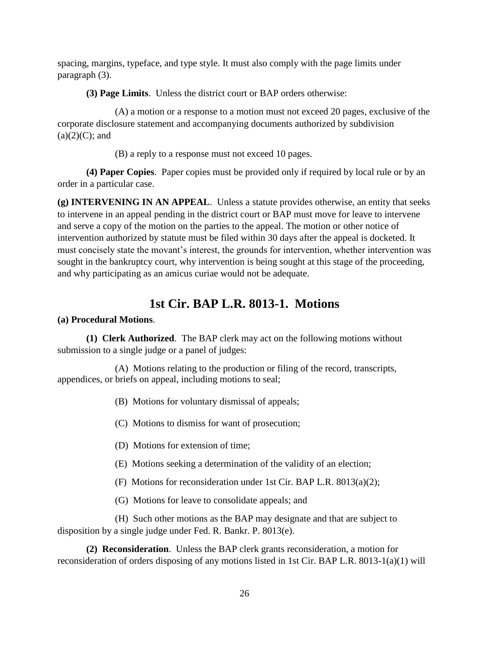spacing, margins, typeface, and type style. It must also comply with the page limits under paragraph (3).

**(3) Page Limits**. Unless the district court or BAP orders otherwise:

(A) a motion or a response to a motion must not exceed 20 pages, exclusive of the corporate disclosure statement and accompanying documents authorized by subdivision  $(a)(2)(C)$ ; and

(B) a reply to a response must not exceed 10 pages.

**(4) Paper Copies**. Paper copies must be provided only if required by local rule or by an order in a particular case.

**(g) INTERVENING IN AN APPEAL**. Unless a statute provides otherwise, an entity that seeks to intervene in an appeal pending in the district court or BAP must move for leave to intervene and serve a copy of the motion on the parties to the appeal. The motion or other notice of intervention authorized by statute must be filed within 30 days after the appeal is docketed. It must concisely state the movant's interest, the grounds for intervention, whether intervention was sought in the bankruptcy court, why intervention is being sought at this stage of the proceeding, and why participating as an amicus curiae would not be adequate.

## **1st Cir. BAP L.R. 8013-1. Motions**

#### <span id="page-25-0"></span>**(a) Procedural Motions**.

**(1) Clerk Authorized**. The BAP clerk may act on the following motions without submission to a single judge or a panel of judges:

(A) Motions relating to the production or filing of the record, transcripts, appendices, or briefs on appeal, including motions to seal;

(B) Motions for voluntary dismissal of appeals;

(C) Motions to dismiss for want of prosecution;

(D) Motions for extension of time;

(E) Motions seeking a determination of the validity of an election;

(F) Motions for reconsideration under 1st Cir. BAP L.R. 8013(a)(2);

(G) Motions for leave to consolidate appeals; and

(H) Such other motions as the BAP may designate and that are subject to disposition by a single judge under Fed. R. Bankr. P. 8013(e).

**(2) Reconsideration**. Unless the BAP clerk grants reconsideration, a motion for reconsideration of orders disposing of any motions listed in 1st Cir. BAP L.R. 8013-1(a)(1) will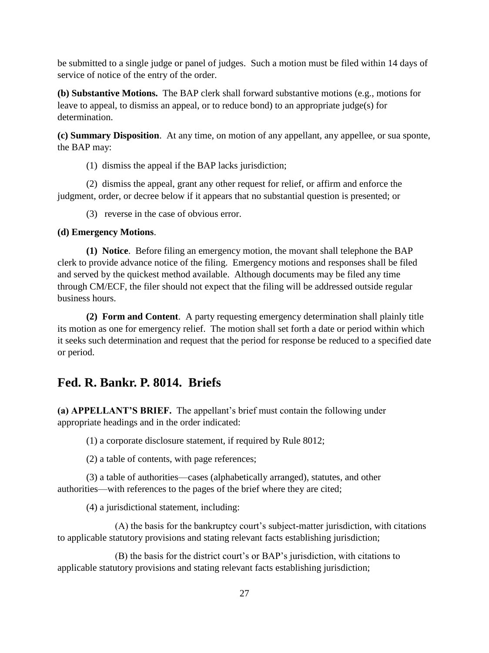be submitted to a single judge or panel of judges. Such a motion must be filed within 14 days of service of notice of the entry of the order.

**(b) Substantive Motions.** The BAP clerk shall forward substantive motions (e.g., motions for leave to appeal, to dismiss an appeal, or to reduce bond) to an appropriate judge(s) for determination.

**(c) Summary Disposition**. At any time, on motion of any appellant, any appellee, or sua sponte, the BAP may:

(1) dismiss the appeal if the BAP lacks jurisdiction;

(2) dismiss the appeal, grant any other request for relief, or affirm and enforce the judgment, order, or decree below if it appears that no substantial question is presented; or

(3) reverse in the case of obvious error.

#### **(d) Emergency Motions**.

**(1) Notice**. Before filing an emergency motion, the movant shall telephone the BAP clerk to provide advance notice of the filing. Emergency motions and responses shall be filed and served by the quickest method available. Although documents may be filed any time through CM/ECF, the filer should not expect that the filing will be addressed outside regular business hours.

**(2) Form and Content**. A party requesting emergency determination shall plainly title its motion as one for emergency relief. The motion shall set forth a date or period within which it seeks such determination and request that the period for response be reduced to a specified date or period.

### <span id="page-26-0"></span>**Fed. R. Bankr. P. 8014. Briefs**

**(a) APPELLANT'S BRIEF.** The appellant's brief must contain the following under appropriate headings and in the order indicated:

(1) a corporate disclosure statement, if required by Rule 8012;

(2) a table of contents, with page references;

(3) a table of authorities—cases (alphabetically arranged), statutes, and other authorities—with references to the pages of the brief where they are cited;

(4) a jurisdictional statement, including:

(A) the basis for the bankruptcy court's subject-matter jurisdiction, with citations to applicable statutory provisions and stating relevant facts establishing jurisdiction;

(B) the basis for the district court's or BAP's jurisdiction, with citations to applicable statutory provisions and stating relevant facts establishing jurisdiction;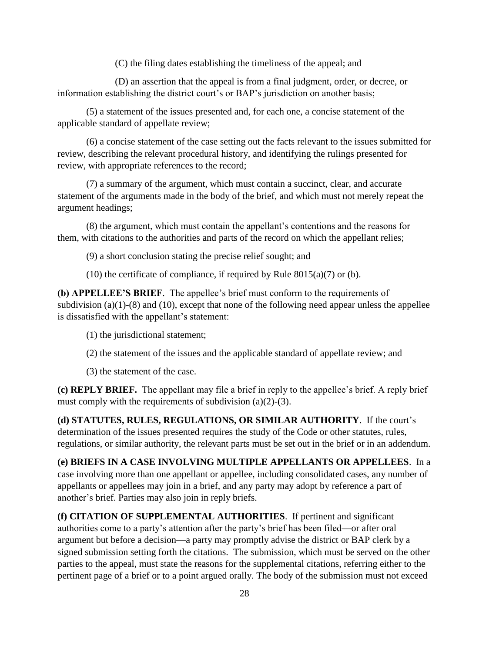(C) the filing dates establishing the timeliness of the appeal; and

(D) an assertion that the appeal is from a final judgment, order, or decree, or information establishing the district court's or BAP's jurisdiction on another basis;

(5) a statement of the issues presented and, for each one, a concise statement of the applicable standard of appellate review;

(6) a concise statement of the case setting out the facts relevant to the issues submitted for review, describing the relevant procedural history, and identifying the rulings presented for review, with appropriate references to the record;

(7) a summary of the argument, which must contain a succinct, clear, and accurate statement of the arguments made in the body of the brief, and which must not merely repeat the argument headings;

(8) the argument, which must contain the appellant's contentions and the reasons for them, with citations to the authorities and parts of the record on which the appellant relies;

(9) a short conclusion stating the precise relief sought; and

(10) the certificate of compliance, if required by Rule  $8015(a)(7)$  or (b).

**(b) APPELLEE'S BRIEF**. The appellee's brief must conform to the requirements of subdivision (a)(1)-(8) and (10), except that none of the following need appear unless the appellee is dissatisfied with the appellant's statement:

- (1) the jurisdictional statement;
- (2) the statement of the issues and the applicable standard of appellate review; and
- (3) the statement of the case.

**(c) REPLY BRIEF.** The appellant may file a brief in reply to the appellee's brief. A reply brief must comply with the requirements of subdivision  $(a)(2)-(3)$ .

**(d) STATUTES, RULES, REGULATIONS, OR SIMILAR AUTHORITY**. If the court's determination of the issues presented requires the study of the Code or other statutes, rules, regulations, or similar authority, the relevant parts must be set out in the brief or in an addendum.

**(e) BRIEFS IN A CASE INVOLVING MULTIPLE APPELLANTS OR APPELLEES**. In a case involving more than one appellant or appellee, including consolidated cases, any number of appellants or appellees may join in a brief, and any party may adopt by reference a part of another's brief. Parties may also join in reply briefs.

**(f) CITATION OF SUPPLEMENTAL AUTHORITIES**. If pertinent and significant authorities come to a party's attention after the party's brief has been filed—or after oral argument but before a decision—a party may promptly advise the district or BAP clerk by a signed submission setting forth the citations. The submission, which must be served on the other parties to the appeal, must state the reasons for the supplemental citations, referring either to the pertinent page of a brief or to a point argued orally. The body of the submission must not exceed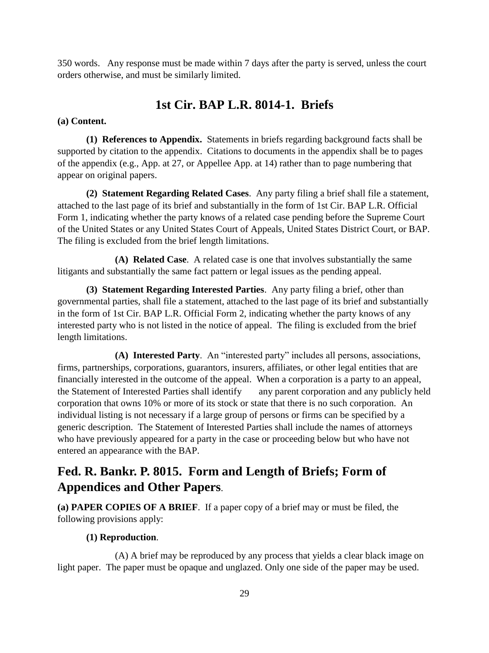<span id="page-28-0"></span>350 words. Any response must be made within 7 days after the party is served, unless the court orders otherwise, and must be similarly limited.

### **1st Cir. BAP L.R. 8014-1. Briefs**

#### **(a) Content.**

**(1) References to Appendix.** Statements in briefs regarding background facts shall be supported by citation to the appendix. Citations to documents in the appendix shall be to pages of the appendix (e.g., App. at 27, or Appellee App. at 14) rather than to page numbering that appear on original papers.

**(2) Statement Regarding Related Cases**. Any party filing a brief shall file a statement, attached to the last page of its brief and substantially in the form of 1st Cir. BAP L.R. Official Form 1, indicating whether the party knows of a related case pending before the Supreme Court of the United States or any United States Court of Appeals, United States District Court, or BAP. The filing is excluded from the brief length limitations.

**(A) Related Case**. A related case is one that involves substantially the same litigants and substantially the same fact pattern or legal issues as the pending appeal.

**(3) Statement Regarding Interested Parties**. Any party filing a brief, other than governmental parties, shall file a statement, attached to the last page of its brief and substantially in the form of 1st Cir. BAP L.R. Official Form 2, indicating whether the party knows of any interested party who is not listed in the notice of appeal. The filing is excluded from the brief length limitations.

**(A) Interested Party**. An "interested party" includes all persons, associations, firms, partnerships, corporations, guarantors, insurers, affiliates, or other legal entities that are financially interested in the outcome of the appeal. When a corporation is a party to an appeal, the Statement of Interested Parties shall identify any parent corporation and any publicly held corporation that owns 10% or more of its stock or state that there is no such corporation. An individual listing is not necessary if a large group of persons or firms can be specified by a generic description. The Statement of Interested Parties shall include the names of attorneys who have previously appeared for a party in the case or proceeding below but who have not entered an appearance with the BAP.

## <span id="page-28-1"></span>**Fed. R. Bankr. P. 8015. Form and Length of Briefs; Form of Appendices and Other Papers**.

**(a) PAPER COPIES OF A BRIEF**. If a paper copy of a brief may or must be filed, the following provisions apply:

### **(1) Reproduction**.

(A) A brief may be reproduced by any process that yields a clear black image on light paper. The paper must be opaque and unglazed. Only one side of the paper may be used.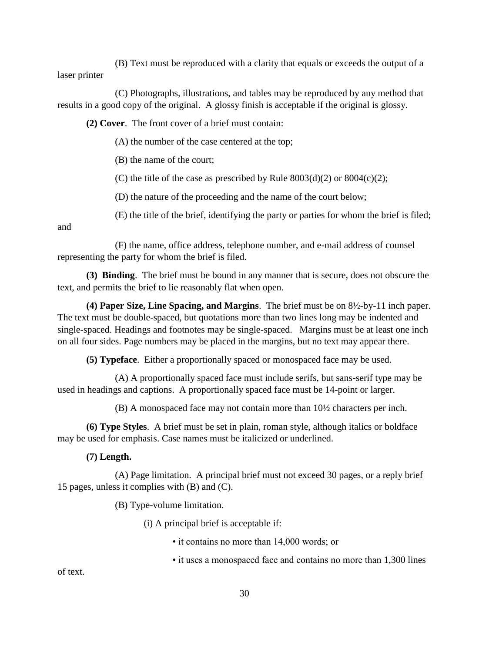(B) Text must be reproduced with a clarity that equals or exceeds the output of a laser printer

(C) Photographs, illustrations, and tables may be reproduced by any method that results in a good copy of the original. A glossy finish is acceptable if the original is glossy.

**(2) Cover**. The front cover of a brief must contain:

(A) the number of the case centered at the top;

(B) the name of the court;

(C) the title of the case as prescribed by Rule  $8003(d)(2)$  or  $8004(c)(2)$ ;

(D) the nature of the proceeding and the name of the court below;

(E) the title of the brief, identifying the party or parties for whom the brief is filed;

and

(F) the name, office address, telephone number, and e-mail address of counsel representing the party for whom the brief is filed.

**(3) Binding**. The brief must be bound in any manner that is secure, does not obscure the text, and permits the brief to lie reasonably flat when open.

**(4) Paper Size, Line Spacing, and Margins**. The brief must be on 8½-by-11 inch paper. The text must be double-spaced, but quotations more than two lines long may be indented and single-spaced. Headings and footnotes may be single-spaced. Margins must be at least one inch on all four sides. Page numbers may be placed in the margins, but no text may appear there.

**(5) Typeface**. Either a proportionally spaced or monospaced face may be used.

(A) A proportionally spaced face must include serifs, but sans-serif type may be used in headings and captions. A proportionally spaced face must be 14-point or larger.

(B) A monospaced face may not contain more than 10½ characters per inch.

**(6) Type Styles**. A brief must be set in plain, roman style, although italics or boldface may be used for emphasis. Case names must be italicized or underlined.

### **(7) Length.**

(A) Page limitation. A principal brief must not exceed 30 pages, or a reply brief 15 pages, unless it complies with (B) and (C).

(B) Type-volume limitation.

(i) A principal brief is acceptable if:

- it contains no more than 14,000 words; or
- it uses a monospaced face and contains no more than 1,300 lines

of text.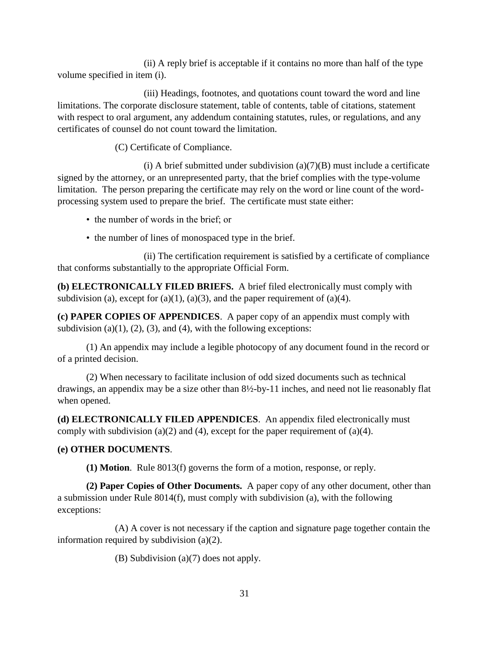(ii) A reply brief is acceptable if it contains no more than half of the type volume specified in item (i).

(iii) Headings, footnotes, and quotations count toward the word and line limitations. The corporate disclosure statement, table of contents, table of citations, statement with respect to oral argument, any addendum containing statutes, rules, or regulations, and any certificates of counsel do not count toward the limitation.

(C) Certificate of Compliance.

(i) A brief submitted under subdivision  $(a)(7)(B)$  must include a certificate signed by the attorney, or an unrepresented party, that the brief complies with the type-volume limitation. The person preparing the certificate may rely on the word or line count of the wordprocessing system used to prepare the brief. The certificate must state either:

- the number of words in the brief; or
- the number of lines of monospaced type in the brief.

(ii) The certification requirement is satisfied by a certificate of compliance that conforms substantially to the appropriate Official Form.

**(b) ELECTRONICALLY FILED BRIEFS.** A brief filed electronically must comply with subdivision (a), except for (a)(1), (a)(3), and the paper requirement of (a)(4).

**(c) PAPER COPIES OF APPENDICES**. A paper copy of an appendix must comply with subdivision (a) $(1)$ ,  $(2)$ ,  $(3)$ , and  $(4)$ , with the following exceptions:

(1) An appendix may include a legible photocopy of any document found in the record or of a printed decision.

(2) When necessary to facilitate inclusion of odd sized documents such as technical drawings, an appendix may be a size other than 8½-by-11 inches, and need not lie reasonably flat when opened.

**(d) ELECTRONICALLY FILED APPENDICES**. An appendix filed electronically must comply with subdivision (a)(2) and (4), except for the paper requirement of (a)(4).

### **(e) OTHER DOCUMENTS**.

**(1) Motion**. Rule 8013(f) governs the form of a motion, response, or reply.

**(2) Paper Copies of Other Documents.** A paper copy of any other document, other than a submission under Rule 8014(f), must comply with subdivision (a), with the following exceptions:

(A) A cover is not necessary if the caption and signature page together contain the information required by subdivision (a)(2).

(B) Subdivision (a)(7) does not apply.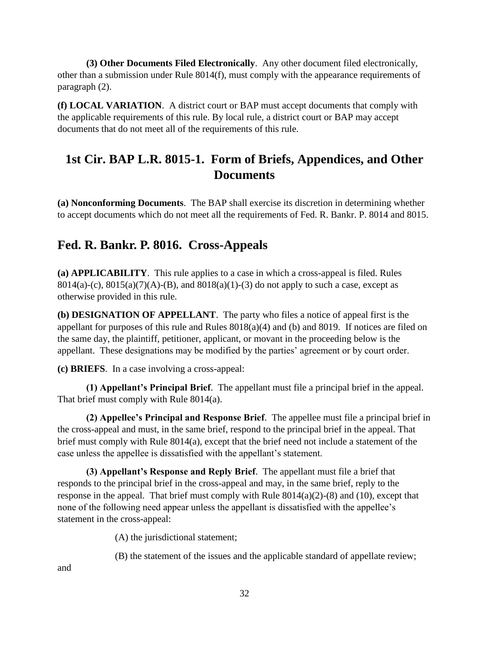**(3) Other Documents Filed Electronically**. Any other document filed electronically, other than a submission under Rule 8014(f), must comply with the appearance requirements of paragraph (2).

**(f) LOCAL VARIATION**. A district court or BAP must accept documents that comply with the applicable requirements of this rule. By local rule, a district court or BAP may accept documents that do not meet all of the requirements of this rule.

## <span id="page-31-0"></span>**1st Cir. BAP L.R. 8015-1. Form of Briefs, Appendices, and Other Documents**

**(a) Nonconforming Documents**. The BAP shall exercise its discretion in determining whether to accept documents which do not meet all the requirements of Fed. R. Bankr. P. 8014 and 8015.

## <span id="page-31-1"></span>**Fed. R. Bankr. P. 8016. Cross-Appeals**

**(a) APPLICABILITY**. This rule applies to a case in which a cross-appeal is filed. Rules 8014(a)-(c), 8015(a)(7)(A)-(B), and 8018(a)(1)-(3) do not apply to such a case, except as otherwise provided in this rule.

**(b) DESIGNATION OF APPELLANT**. The party who files a notice of appeal first is the appellant for purposes of this rule and Rules 8018(a)(4) and (b) and 8019. If notices are filed on the same day, the plaintiff, petitioner, applicant, or movant in the proceeding below is the appellant. These designations may be modified by the parties' agreement or by court order.

**(c) BRIEFS**. In a case involving a cross-appeal:

**(1) Appellant's Principal Brief**. The appellant must file a principal brief in the appeal. That brief must comply with Rule 8014(a).

**(2) Appellee's Principal and Response Brief**. The appellee must file a principal brief in the cross-appeal and must, in the same brief, respond to the principal brief in the appeal. That brief must comply with Rule 8014(a), except that the brief need not include a statement of the case unless the appellee is dissatisfied with the appellant's statement.

**(3) Appellant's Response and Reply Brief**. The appellant must file a brief that responds to the principal brief in the cross-appeal and may, in the same brief, reply to the response in the appeal. That brief must comply with Rule  $8014(a)(2)-(8)$  and (10), except that none of the following need appear unless the appellant is dissatisfied with the appellee's statement in the cross-appeal:

(A) the jurisdictional statement;

(B) the statement of the issues and the applicable standard of appellate review;

and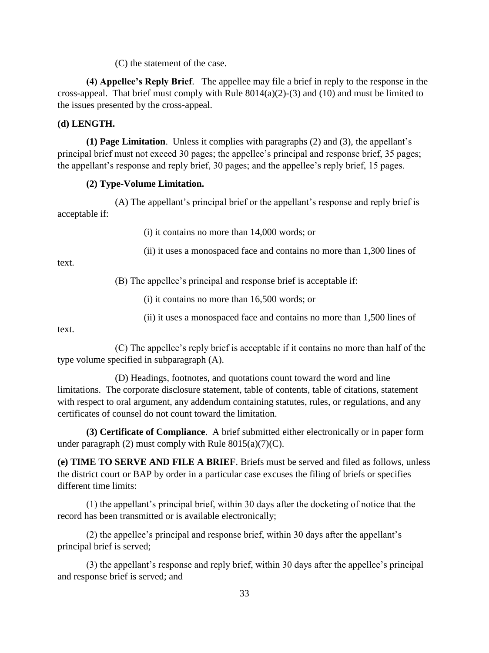(C) the statement of the case.

**(4) Appellee's Reply Brief**. The appellee may file a brief in reply to the response in the cross-appeal. That brief must comply with Rule  $8014(a)(2)-(3)$  and  $(10)$  and must be limited to the issues presented by the cross-appeal.

### **(d) LENGTH.**

**(1) Page Limitation**. Unless it complies with paragraphs (2) and (3), the appellant's principal brief must not exceed 30 pages; the appellee's principal and response brief, 35 pages; the appellant's response and reply brief, 30 pages; and the appellee's reply brief, 15 pages.

#### **(2) Type-Volume Limitation.**

(A) The appellant's principal brief or the appellant's response and reply brief is acceptable if:

(i) it contains no more than 14,000 words; or

(ii) it uses a monospaced face and contains no more than 1,300 lines of

text.

(B) The appellee's principal and response brief is acceptable if:

(i) it contains no more than 16,500 words; or

(ii) it uses a monospaced face and contains no more than 1,500 lines of

text.

(C) The appellee's reply brief is acceptable if it contains no more than half of the type volume specified in subparagraph (A).

(D) Headings, footnotes, and quotations count toward the word and line limitations. The corporate disclosure statement, table of contents, table of citations, statement with respect to oral argument, any addendum containing statutes, rules, or regulations, and any certificates of counsel do not count toward the limitation.

**(3) Certificate of Compliance**. A brief submitted either electronically or in paper form under paragraph (2) must comply with Rule  $8015(a)(7)(C)$ .

**(e) TIME TO SERVE AND FILE A BRIEF**. Briefs must be served and filed as follows, unless the district court or BAP by order in a particular case excuses the filing of briefs or specifies different time limits:

(1) the appellant's principal brief, within 30 days after the docketing of notice that the record has been transmitted or is available electronically;

(2) the appellee's principal and response brief, within 30 days after the appellant's principal brief is served;

(3) the appellant's response and reply brief, within 30 days after the appellee's principal and response brief is served; and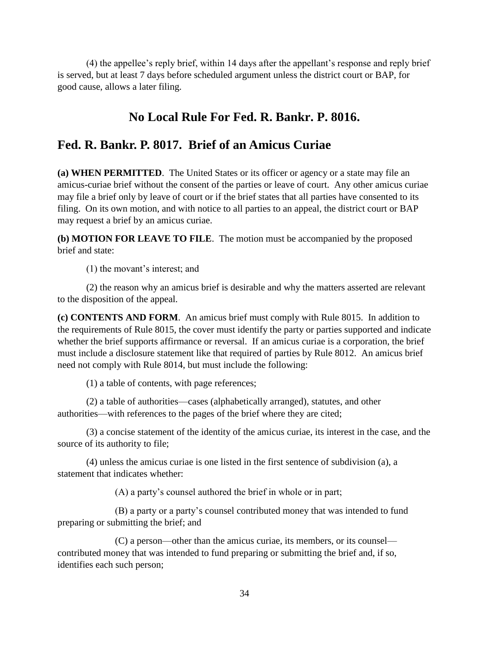(4) the appellee's reply brief, within 14 days after the appellant's response and reply brief is served, but at least 7 days before scheduled argument unless the district court or BAP, for good cause, allows a later filing.

## **No Local Rule For Fed. R. Bankr. P. 8016.**

## <span id="page-33-1"></span><span id="page-33-0"></span>**Fed. R. Bankr. P. 8017. Brief of an Amicus Curiae**

**(a) WHEN PERMITTED**. The United States or its officer or agency or a state may file an amicus-curiae brief without the consent of the parties or leave of court. Any other amicus curiae may file a brief only by leave of court or if the brief states that all parties have consented to its filing. On its own motion, and with notice to all parties to an appeal, the district court or BAP may request a brief by an amicus curiae.

**(b) MOTION FOR LEAVE TO FILE**. The motion must be accompanied by the proposed brief and state:

(1) the movant's interest; and

(2) the reason why an amicus brief is desirable and why the matters asserted are relevant to the disposition of the appeal.

**(c) CONTENTS AND FORM**. An amicus brief must comply with Rule 8015. In addition to the requirements of Rule 8015, the cover must identify the party or parties supported and indicate whether the brief supports affirmance or reversal. If an amicus curiae is a corporation, the brief must include a disclosure statement like that required of parties by Rule 8012. An amicus brief need not comply with Rule 8014, but must include the following:

(1) a table of contents, with page references;

(2) a table of authorities—cases (alphabetically arranged), statutes, and other authorities—with references to the pages of the brief where they are cited;

(3) a concise statement of the identity of the amicus curiae, its interest in the case, and the source of its authority to file;

(4) unless the amicus curiae is one listed in the first sentence of subdivision (a), a statement that indicates whether:

(A) a party's counsel authored the brief in whole or in part;

(B) a party or a party's counsel contributed money that was intended to fund preparing or submitting the brief; and

(C) a person—other than the amicus curiae, its members, or its counsel contributed money that was intended to fund preparing or submitting the brief and, if so, identifies each such person;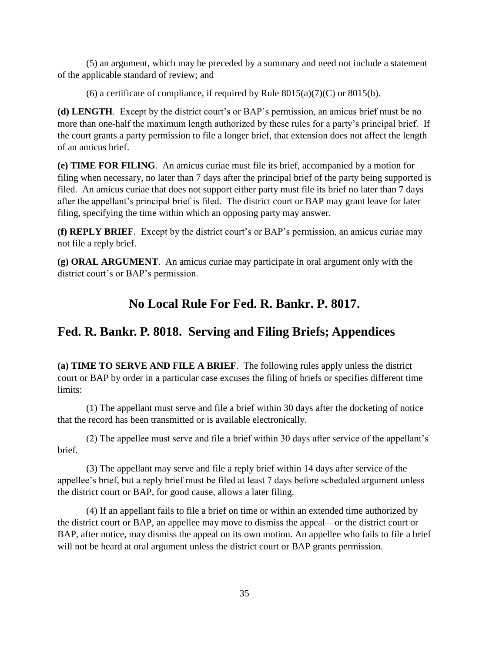(5) an argument, which may be preceded by a summary and need not include a statement of the applicable standard of review; and

(6) a certificate of compliance, if required by Rule  $8015(a)(7)(C)$  or  $8015(b)$ .

**(d) LENGTH**. Except by the district court's or BAP's permission, an amicus brief must be no more than one-half the maximum length authorized by these rules for a party's principal brief. If the court grants a party permission to file a longer brief, that extension does not affect the length of an amicus brief.

**(e) TIME FOR FILING**. An amicus curiae must file its brief, accompanied by a motion for filing when necessary, no later than 7 days after the principal brief of the party being supported is filed. An amicus curiae that does not support either party must file its brief no later than 7 days after the appellant's principal brief is filed. The district court or BAP may grant leave for later filing, specifying the time within which an opposing party may answer.

**(f) REPLY BRIEF**. Except by the district court's or BAP's permission, an amicus curiae may not file a reply brief.

<span id="page-34-0"></span>**(g) ORAL ARGUMENT**. An amicus curiae may participate in oral argument only with the district court's or BAP's permission.

# **No Local Rule For Fed. R. Bankr. P. 8017.**

## <span id="page-34-1"></span>**Fed. R. Bankr. P. 8018. Serving and Filing Briefs; Appendices**

**(a) TIME TO SERVE AND FILE A BRIEF**. The following rules apply unless the district court or BAP by order in a particular case excuses the filing of briefs or specifies different time limits:

(1) The appellant must serve and file a brief within 30 days after the docketing of notice that the record has been transmitted or is available electronically.

(2) The appellee must serve and file a brief within 30 days after service of the appellant's brief.

(3) The appellant may serve and file a reply brief within 14 days after service of the appellee's brief, but a reply brief must be filed at least 7 days before scheduled argument unless the district court or BAP, for good cause, allows a later filing.

(4) If an appellant fails to file a brief on time or within an extended time authorized by the district court or BAP, an appellee may move to dismiss the appeal—or the district court or BAP, after notice, may dismiss the appeal on its own motion. An appellee who fails to file a brief will not be heard at oral argument unless the district court or BAP grants permission.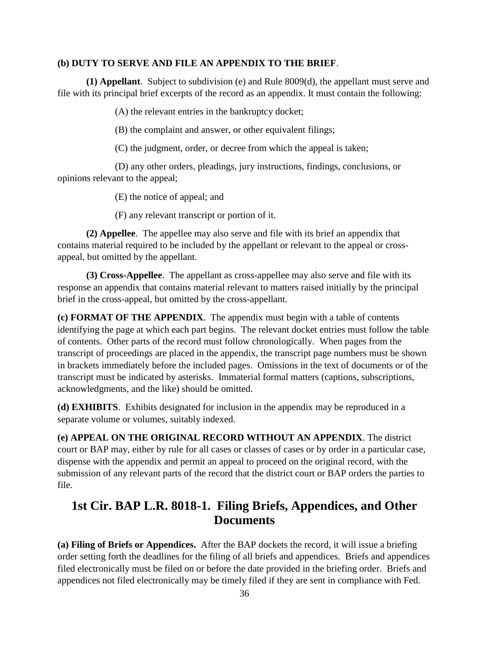#### **(b) DUTY TO SERVE AND FILE AN APPENDIX TO THE BRIEF**.

**(1) Appellant**. Subject to subdivision (e) and Rule 8009(d), the appellant must serve and file with its principal brief excerpts of the record as an appendix. It must contain the following:

(A) the relevant entries in the bankruptcy docket;

(B) the complaint and answer, or other equivalent filings;

(C) the judgment, order, or decree from which the appeal is taken;

(D) any other orders, pleadings, jury instructions, findings, conclusions, or opinions relevant to the appeal;

(E) the notice of appeal; and

(F) any relevant transcript or portion of it.

**(2) Appellee**. The appellee may also serve and file with its brief an appendix that contains material required to be included by the appellant or relevant to the appeal or crossappeal, but omitted by the appellant.

**(3) Cross-Appellee**. The appellant as cross-appellee may also serve and file with its response an appendix that contains material relevant to matters raised initially by the principal brief in the cross-appeal, but omitted by the cross-appellant.

**(c) FORMAT OF THE APPENDIX**. The appendix must begin with a table of contents identifying the page at which each part begins. The relevant docket entries must follow the table of contents. Other parts of the record must follow chronologically. When pages from the transcript of proceedings are placed in the appendix, the transcript page numbers must be shown in brackets immediately before the included pages. Omissions in the text of documents or of the transcript must be indicated by asterisks. Immaterial formal matters (captions, subscriptions, acknowledgments, and the like) should be omitted.

**(d) EXHIBITS**. Exhibits designated for inclusion in the appendix may be reproduced in a separate volume or volumes, suitably indexed.

**(e) APPEAL ON THE ORIGINAL RECORD WITHOUT AN APPENDIX**. The district court or BAP may, either by rule for all cases or classes of cases or by order in a particular case, dispense with the appendix and permit an appeal to proceed on the original record, with the submission of any relevant parts of the record that the district court or BAP orders the parties to file.

### <span id="page-35-0"></span>**1st Cir. BAP L.R. 8018-1. Filing Briefs, Appendices, and Other Documents**

**(a) Filing of Briefs or Appendices.** After the BAP dockets the record, it will issue a briefing order setting forth the deadlines for the filing of all briefs and appendices. Briefs and appendices filed electronically must be filed on or before the date provided in the briefing order. Briefs and appendices not filed electronically may be timely filed if they are sent in compliance with Fed.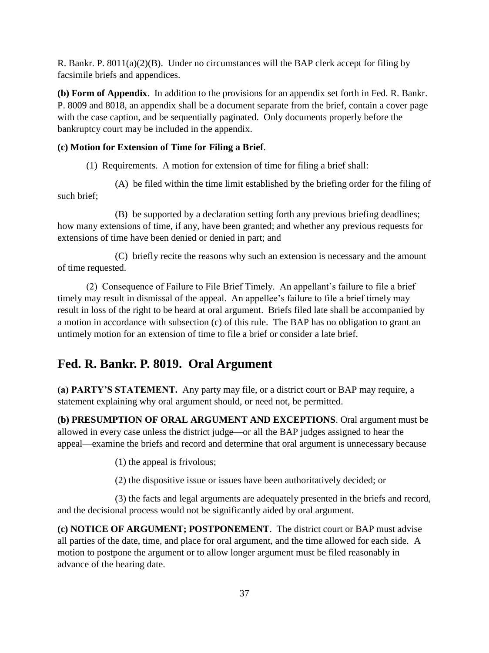R. Bankr. P. 8011(a)(2)(B). Under no circumstances will the BAP clerk accept for filing by facsimile briefs and appendices.

**(b) Form of Appendix**. In addition to the provisions for an appendix set forth in Fed. R. Bankr. P. 8009 and 8018, an appendix shall be a document separate from the brief, contain a cover page with the case caption, and be sequentially paginated. Only documents properly before the bankruptcy court may be included in the appendix.

#### **(c) Motion for Extension of Time for Filing a Brief**.

(1) Requirements. A motion for extension of time for filing a brief shall:

(A) be filed within the time limit established by the briefing order for the filing of such brief;

(B) be supported by a declaration setting forth any previous briefing deadlines; how many extensions of time, if any, have been granted; and whether any previous requests for extensions of time have been denied or denied in part; and

(C) briefly recite the reasons why such an extension is necessary and the amount of time requested.

(2) Consequence of Failure to File Brief Timely. An appellant's failure to file a brief timely may result in dismissal of the appeal. An appellee's failure to file a brief timely may result in loss of the right to be heard at oral argument. Briefs filed late shall be accompanied by a motion in accordance with subsection (c) of this rule. The BAP has no obligation to grant an untimely motion for an extension of time to file a brief or consider a late brief.

## <span id="page-36-0"></span>**Fed. R. Bankr. P. 8019. Oral Argument**

**(a) PARTY'S STATEMENT.** Any party may file, or a district court or BAP may require, a statement explaining why oral argument should, or need not, be permitted.

**(b) PRESUMPTION OF ORAL ARGUMENT AND EXCEPTIONS**. Oral argument must be allowed in every case unless the district judge—or all the BAP judges assigned to hear the appeal—examine the briefs and record and determine that oral argument is unnecessary because

(1) the appeal is frivolous;

(2) the dispositive issue or issues have been authoritatively decided; or

(3) the facts and legal arguments are adequately presented in the briefs and record, and the decisional process would not be significantly aided by oral argument.

**(c) NOTICE OF ARGUMENT; POSTPONEMENT**. The district court or BAP must advise all parties of the date, time, and place for oral argument, and the time allowed for each side. A motion to postpone the argument or to allow longer argument must be filed reasonably in advance of the hearing date.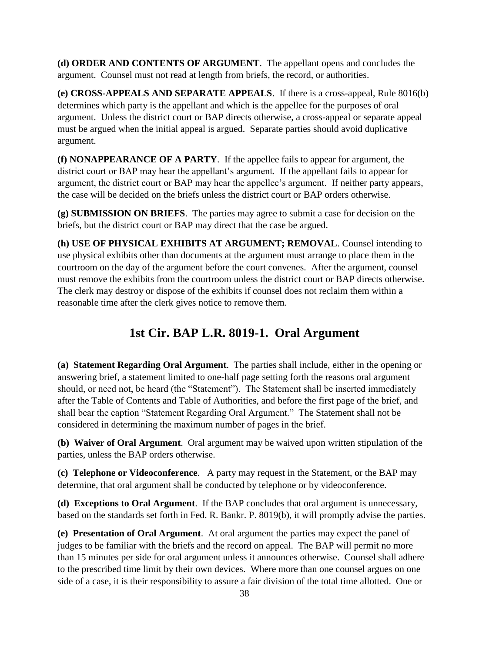**(d) ORDER AND CONTENTS OF ARGUMENT**. The appellant opens and concludes the argument. Counsel must not read at length from briefs, the record, or authorities.

**(e) CROSS-APPEALS AND SEPARATE APPEALS**. If there is a cross-appeal, Rule 8016(b) determines which party is the appellant and which is the appellee for the purposes of oral argument. Unless the district court or BAP directs otherwise, a cross-appeal or separate appeal must be argued when the initial appeal is argued. Separate parties should avoid duplicative argument.

**(f) NONAPPEARANCE OF A PARTY**. If the appellee fails to appear for argument, the district court or BAP may hear the appellant's argument. If the appellant fails to appear for argument, the district court or BAP may hear the appellee's argument. If neither party appears, the case will be decided on the briefs unless the district court or BAP orders otherwise.

**(g) SUBMISSION ON BRIEFS**. The parties may agree to submit a case for decision on the briefs, but the district court or BAP may direct that the case be argued.

**(h) USE OF PHYSICAL EXHIBITS AT ARGUMENT; REMOVAL**. Counsel intending to use physical exhibits other than documents at the argument must arrange to place them in the courtroom on the day of the argument before the court convenes. After the argument, counsel must remove the exhibits from the courtroom unless the district court or BAP directs otherwise. The clerk may destroy or dispose of the exhibits if counsel does not reclaim them within a reasonable time after the clerk gives notice to remove them.

## **1st Cir. BAP L.R. 8019-1. Oral Argument**

<span id="page-37-0"></span>**(a) Statement Regarding Oral Argument**. The parties shall include, either in the opening or answering brief, a statement limited to one-half page setting forth the reasons oral argument should, or need not, be heard (the "Statement"). The Statement shall be inserted immediately after the Table of Contents and Table of Authorities, and before the first page of the brief, and shall bear the caption "Statement Regarding Oral Argument." The Statement shall not be considered in determining the maximum number of pages in the brief.

**(b) Waiver of Oral Argument**. Oral argument may be waived upon written stipulation of the parties, unless the BAP orders otherwise.

**(c) Telephone or Videoconference**. A party may request in the Statement, or the BAP may determine, that oral argument shall be conducted by telephone or by videoconference.

**(d) Exceptions to Oral Argument**. If the BAP concludes that oral argument is unnecessary, based on the standards set forth in Fed. R. Bankr. P. 8019(b), it will promptly advise the parties.

**(e) Presentation of Oral Argument**. At oral argument the parties may expect the panel of judges to be familiar with the briefs and the record on appeal. The BAP will permit no more than 15 minutes per side for oral argument unless it announces otherwise. Counsel shall adhere to the prescribed time limit by their own devices. Where more than one counsel argues on one side of a case, it is their responsibility to assure a fair division of the total time allotted. One or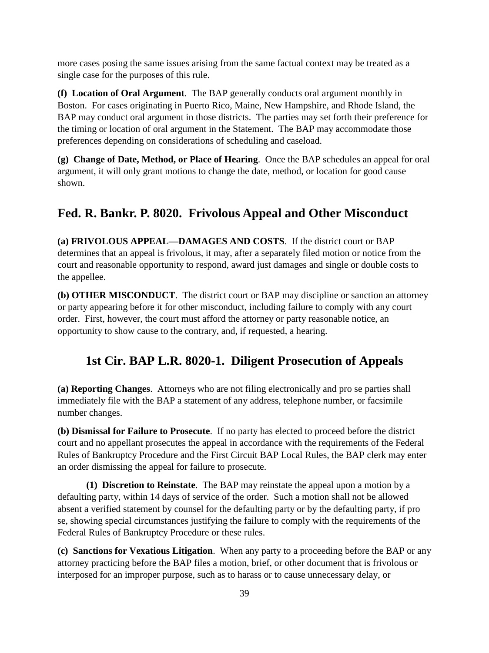more cases posing the same issues arising from the same factual context may be treated as a single case for the purposes of this rule.

**(f) Location of Oral Argument**. The BAP generally conducts oral argument monthly in Boston. For cases originating in Puerto Rico, Maine, New Hampshire, and Rhode Island, the BAP may conduct oral argument in those districts. The parties may set forth their preference for the timing or location of oral argument in the Statement. The BAP may accommodate those preferences depending on considerations of scheduling and caseload.

**(g) Change of Date, Method, or Place of Hearing**. Once the BAP schedules an appeal for oral argument, it will only grant motions to change the date, method, or location for good cause shown.

## <span id="page-38-0"></span>**Fed. R. Bankr. P. 8020. Frivolous Appeal and Other Misconduct**

**(a) FRIVOLOUS APPEAL—DAMAGES AND COSTS**. If the district court or BAP determines that an appeal is frivolous, it may, after a separately filed motion or notice from the court and reasonable opportunity to respond, award just damages and single or double costs to the appellee.

**(b) OTHER MISCONDUCT**. The district court or BAP may discipline or sanction an attorney or party appearing before it for other misconduct, including failure to comply with any court order. First, however, the court must afford the attorney or party reasonable notice, an opportunity to show cause to the contrary, and, if requested, a hearing.

## <span id="page-38-1"></span>**1st Cir. BAP L.R. 8020-1. Diligent Prosecution of Appeals**

**(a) Reporting Changes**. Attorneys who are not filing electronically and pro se parties shall immediately file with the BAP a statement of any address, telephone number, or facsimile number changes.

**(b) Dismissal for Failure to Prosecute**. If no party has elected to proceed before the district court and no appellant prosecutes the appeal in accordance with the requirements of the Federal Rules of Bankruptcy Procedure and the First Circuit BAP Local Rules, the BAP clerk may enter an order dismissing the appeal for failure to prosecute.

**(1) Discretion to Reinstate**. The BAP may reinstate the appeal upon a motion by a defaulting party, within 14 days of service of the order. Such a motion shall not be allowed absent a verified statement by counsel for the defaulting party or by the defaulting party, if pro se, showing special circumstances justifying the failure to comply with the requirements of the Federal Rules of Bankruptcy Procedure or these rules.

**(c) Sanctions for Vexatious Litigation**. When any party to a proceeding before the BAP or any attorney practicing before the BAP files a motion, brief, or other document that is frivolous or interposed for an improper purpose, such as to harass or to cause unnecessary delay, or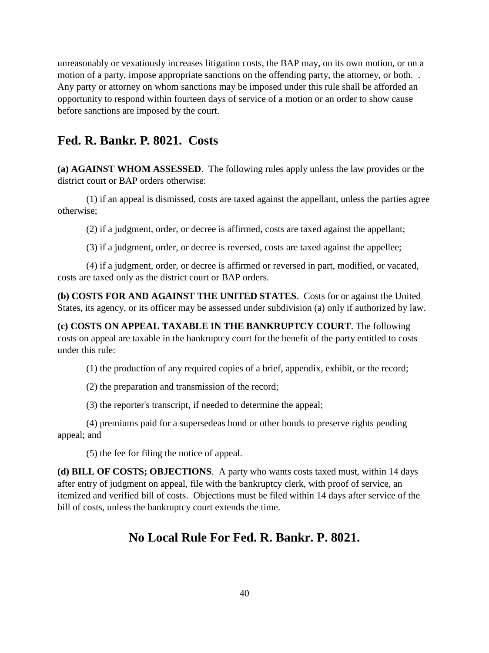unreasonably or vexatiously increases litigation costs, the BAP may, on its own motion, or on a motion of a party, impose appropriate sanctions on the offending party, the attorney, or both. . Any party or attorney on whom sanctions may be imposed under this rule shall be afforded an opportunity to respond within fourteen days of service of a motion or an order to show cause before sanctions are imposed by the court.

## <span id="page-39-0"></span>**Fed. R. Bankr. P. 8021. Costs**

**(a) AGAINST WHOM ASSESSED**. The following rules apply unless the law provides or the district court or BAP orders otherwise:

(1) if an appeal is dismissed, costs are taxed against the appellant, unless the parties agree otherwise;

(2) if a judgment, order, or decree is affirmed, costs are taxed against the appellant;

(3) if a judgment, order, or decree is reversed, costs are taxed against the appellee;

(4) if a judgment, order, or decree is affirmed or reversed in part, modified, or vacated, costs are taxed only as the district court or BAP orders.

**(b) COSTS FOR AND AGAINST THE UNITED STATES**. Costs for or against the United States, its agency, or its officer may be assessed under subdivision (a) only if authorized by law.

**(c) COSTS ON APPEAL TAXABLE IN THE BANKRUPTCY COURT**. The following costs on appeal are taxable in the bankruptcy court for the benefit of the party entitled to costs under this rule:

(1) the production of any required copies of a brief, appendix, exhibit, or the record;

(2) the preparation and transmission of the record;

(3) the reporter's transcript, if needed to determine the appeal;

(4) premiums paid for a supersedeas bond or other bonds to preserve rights pending appeal; and

(5) the fee for filing the notice of appeal.

<span id="page-39-1"></span>**(d) BILL OF COSTS; OBJECTIONS**. A party who wants costs taxed must, within 14 days after entry of judgment on appeal, file with the bankruptcy clerk, with proof of service, an itemized and verified bill of costs. Objections must be filed within 14 days after service of the bill of costs, unless the bankruptcy court extends the time.

## **No Local Rule For Fed. R. Bankr. P. 8021.**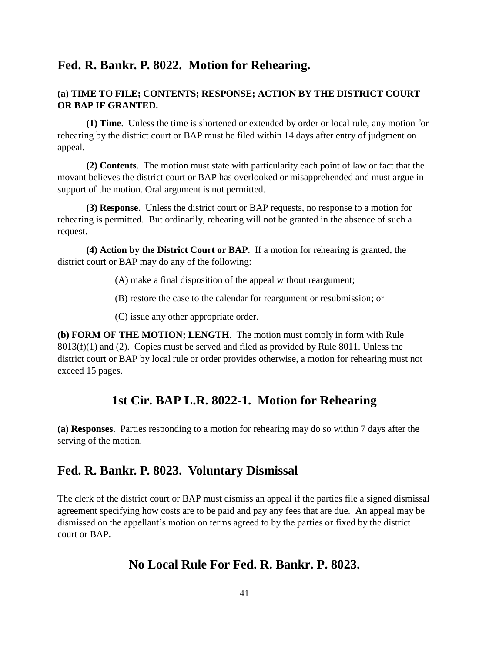## <span id="page-40-0"></span>**Fed. R. Bankr. P. 8022. Motion for Rehearing.**

### **(a) TIME TO FILE; CONTENTS; RESPONSE; ACTION BY THE DISTRICT COURT OR BAP IF GRANTED.**

**(1) Time**. Unless the time is shortened or extended by order or local rule, any motion for rehearing by the district court or BAP must be filed within 14 days after entry of judgment on appeal.

**(2) Contents**. The motion must state with particularity each point of law or fact that the movant believes the district court or BAP has overlooked or misapprehended and must argue in support of the motion. Oral argument is not permitted.

**(3) Response**. Unless the district court or BAP requests, no response to a motion for rehearing is permitted. But ordinarily, rehearing will not be granted in the absence of such a request.

**(4) Action by the District Court or BAP**. If a motion for rehearing is granted, the district court or BAP may do any of the following:

(A) make a final disposition of the appeal without reargument;

(B) restore the case to the calendar for reargument or resubmission; or

(C) issue any other appropriate order.

**(b) FORM OF THE MOTION; LENGTH**. The motion must comply in form with Rule 8013(f)(1) and (2). Copies must be served and filed as provided by Rule 8011. Unless the district court or BAP by local rule or order provides otherwise, a motion for rehearing must not exceed 15 pages.

## **1st Cir. BAP L.R. 8022-1. Motion for Rehearing**

<span id="page-40-1"></span>**(a) Responses**. Parties responding to a motion for rehearing may do so within 7 days after the serving of the motion.

## <span id="page-40-2"></span>**Fed. R. Bankr. P. 8023. Voluntary Dismissal**

<span id="page-40-3"></span>The clerk of the district court or BAP must dismiss an appeal if the parties file a signed dismissal agreement specifying how costs are to be paid and pay any fees that are due. An appeal may be dismissed on the appellant's motion on terms agreed to by the parties or fixed by the district court or BAP.

## **No Local Rule For Fed. R. Bankr. P. 8023.**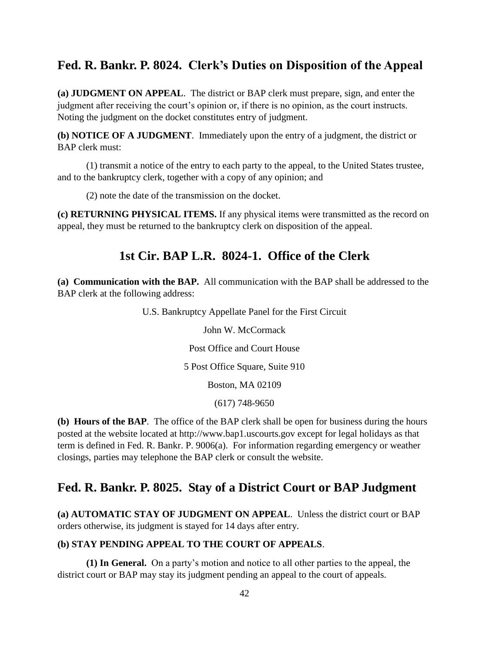### <span id="page-41-0"></span>**Fed. R. Bankr. P. 8024. Clerk's Duties on Disposition of the Appeal**

**(a) JUDGMENT ON APPEAL**. The district or BAP clerk must prepare, sign, and enter the judgment after receiving the court's opinion or, if there is no opinion, as the court instructs. Noting the judgment on the docket constitutes entry of judgment.

**(b) NOTICE OF A JUDGMENT**. Immediately upon the entry of a judgment, the district or BAP clerk must:

(1) transmit a notice of the entry to each party to the appeal, to the United States trustee, and to the bankruptcy clerk, together with a copy of any opinion; and

(2) note the date of the transmission on the docket.

<span id="page-41-1"></span>**(c) RETURNING PHYSICAL ITEMS.** If any physical items were transmitted as the record on appeal, they must be returned to the bankruptcy clerk on disposition of the appeal.

### **1st Cir. BAP L.R. 8024-1. Office of the Clerk**

**(a) Communication with the BAP.** All communication with the BAP shall be addressed to the BAP clerk at the following address:

U.S. Bankruptcy Appellate Panel for the First Circuit

John W. McCormack

Post Office and Court House

5 Post Office Square, Suite 910

Boston, MA 02109

(617) 748-9650

**(b) Hours of the BAP**. The office of the BAP clerk shall be open for business during the hours posted at the website located at http://www.bap1.uscourts.gov except for legal holidays as that term is defined in Fed. R. Bankr. P. 9006(a). For information regarding emergency or weather closings, parties may telephone the BAP clerk or consult the website.

### <span id="page-41-2"></span>**Fed. R. Bankr. P. 8025. Stay of a District Court or BAP Judgment**

**(a) AUTOMATIC STAY OF JUDGMENT ON APPEAL**. Unless the district court or BAP orders otherwise, its judgment is stayed for 14 days after entry.

### **(b) STAY PENDING APPEAL TO THE COURT OF APPEALS**.

**(1) In General.** On a party's motion and notice to all other parties to the appeal, the district court or BAP may stay its judgment pending an appeal to the court of appeals.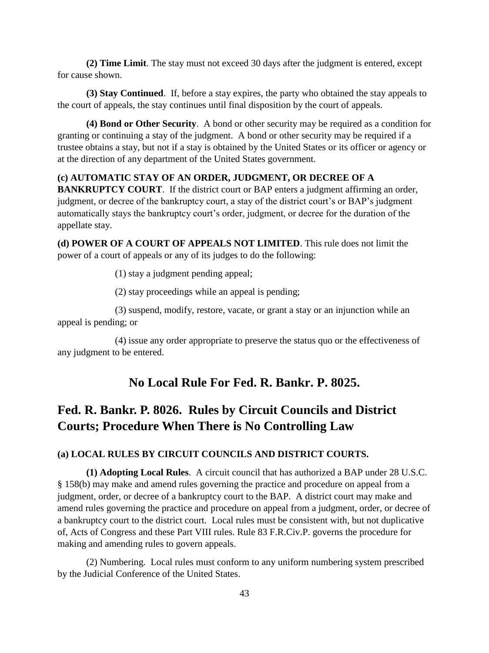**(2) Time Limit**. The stay must not exceed 30 days after the judgment is entered, except for cause shown.

**(3) Stay Continued**. If, before a stay expires, the party who obtained the stay appeals to the court of appeals, the stay continues until final disposition by the court of appeals.

**(4) Bond or Other Security**. A bond or other security may be required as a condition for granting or continuing a stay of the judgment. A bond or other security may be required if a trustee obtains a stay, but not if a stay is obtained by the United States or its officer or agency or at the direction of any department of the United States government.

#### **(c) AUTOMATIC STAY OF AN ORDER, JUDGMENT, OR DECREE OF A**

**BANKRUPTCY COURT**. If the district court or BAP enters a judgment affirming an order, judgment, or decree of the bankruptcy court, a stay of the district court's or BAP's judgment automatically stays the bankruptcy court's order, judgment, or decree for the duration of the appellate stay.

**(d) POWER OF A COURT OF APPEALS NOT LIMITED**. This rule does not limit the power of a court of appeals or any of its judges to do the following:

(1) stay a judgment pending appeal;

(2) stay proceedings while an appeal is pending;

(3) suspend, modify, restore, vacate, or grant a stay or an injunction while an appeal is pending; or

<span id="page-42-0"></span>(4) issue any order appropriate to preserve the status quo or the effectiveness of any judgment to be entered.

### **No Local Rule For Fed. R. Bankr. P. 8025.**

## <span id="page-42-1"></span>**Fed. R. Bankr. P. 8026. Rules by Circuit Councils and District Courts; Procedure When There is No Controlling Law**

#### **(a) LOCAL RULES BY CIRCUIT COUNCILS AND DISTRICT COURTS.**

**(1) Adopting Local Rules**. A circuit council that has authorized a BAP under 28 U.S.C. § 158(b) may make and amend rules governing the practice and procedure on appeal from a judgment, order, or decree of a bankruptcy court to the BAP. A district court may make and amend rules governing the practice and procedure on appeal from a judgment, order, or decree of a bankruptcy court to the district court. Local rules must be consistent with, but not duplicative of, Acts of Congress and these Part VIII rules. Rule 83 F.R.Civ.P. governs the procedure for making and amending rules to govern appeals.

(2) Numbering. Local rules must conform to any uniform numbering system prescribed by the Judicial Conference of the United States.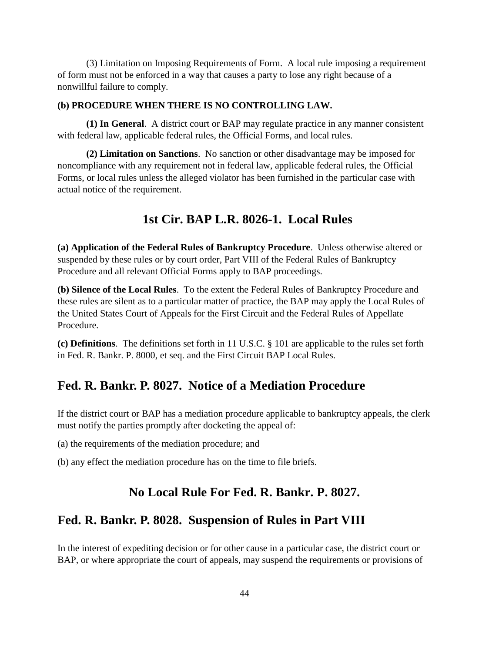(3) Limitation on Imposing Requirements of Form. A local rule imposing a requirement of form must not be enforced in a way that causes a party to lose any right because of a nonwillful failure to comply.

#### **(b) PROCEDURE WHEN THERE IS NO CONTROLLING LAW.**

**(1) In General**. A district court or BAP may regulate practice in any manner consistent with federal law, applicable federal rules, the Official Forms, and local rules.

**(2) Limitation on Sanctions**. No sanction or other disadvantage may be imposed for noncompliance with any requirement not in federal law, applicable federal rules, the Official Forms, or local rules unless the alleged violator has been furnished in the particular case with actual notice of the requirement.

## <span id="page-43-0"></span> **1st Cir. BAP L.R. 8026-1. Local Rules**

**(a) Application of the Federal Rules of Bankruptcy Procedure**. Unless otherwise altered or suspended by these rules or by court order, Part VIII of the Federal Rules of Bankruptcy Procedure and all relevant Official Forms apply to BAP proceedings.

**(b) Silence of the Local Rules**. To the extent the Federal Rules of Bankruptcy Procedure and these rules are silent as to a particular matter of practice, the BAP may apply the Local Rules of the United States Court of Appeals for the First Circuit and the Federal Rules of Appellate Procedure.

**(c) Definitions**. The definitions set forth in 11 U.S.C. § 101 are applicable to the rules set forth in Fed. R. Bankr. P. 8000, et seq. and the First Circuit BAP Local Rules.

## <span id="page-43-1"></span>**Fed. R. Bankr. P. 8027. Notice of a Mediation Procedure**

If the district court or BAP has a mediation procedure applicable to bankruptcy appeals, the clerk must notify the parties promptly after docketing the appeal of:

(a) the requirements of the mediation procedure; and

<span id="page-43-2"></span>(b) any effect the mediation procedure has on the time to file briefs.

## **No Local Rule For Fed. R. Bankr. P. 8027.**

## <span id="page-43-3"></span>**Fed. R. Bankr. P. 8028. Suspension of Rules in Part VIII**

In the interest of expediting decision or for other cause in a particular case, the district court or BAP, or where appropriate the court of appeals, may suspend the requirements or provisions of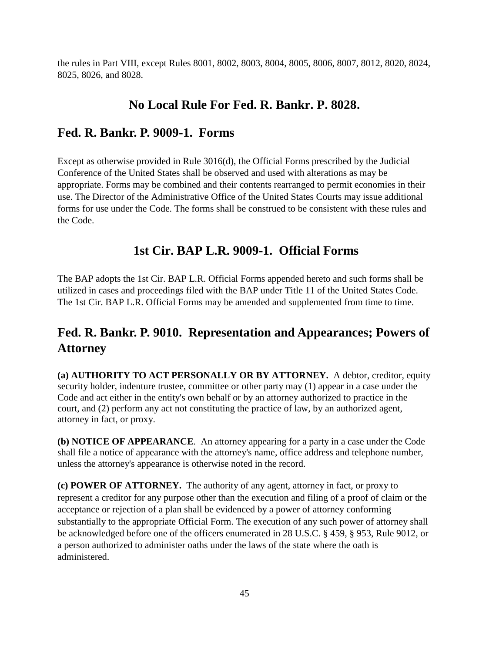<span id="page-44-0"></span>the rules in Part VIII, except Rules 8001, 8002, 8003, 8004, 8005, 8006, 8007, 8012, 8020, 8024, 8025, 8026, and 8028.

### **No Local Rule For Fed. R. Bankr. P. 8028.**

### <span id="page-44-1"></span>**Fed. R. Bankr. P. 9009-1. Forms**

Except as otherwise provided in Rule 3016(d), the Official Forms prescribed by the Judicial Conference of the United States shall be observed and used with alterations as may be appropriate. Forms may be combined and their contents rearranged to permit economies in their use. The Director of the Administrative Office of the United States Courts may issue additional forms for use under the Code. The forms shall be construed to be consistent with these rules and the Code.

### <span id="page-44-2"></span>**1st Cir. BAP L.R. 9009-1. Official Forms**

The BAP adopts the 1st Cir. BAP L.R. Official Forms appended hereto and such forms shall be utilized in cases and proceedings filed with the BAP under Title 11 of the United States Code. The 1st Cir. BAP L.R. Official Forms may be amended and supplemented from time to time.

## <span id="page-44-3"></span>**Fed. R. Bankr. P. 9010. Representation and Appearances; Powers of Attorney**

**(a) AUTHORITY TO ACT PERSONALLY OR BY ATTORNEY.**A debtor, creditor, equity security holder, indenture trustee, committee or other party may (1) appear in a case under the Code and act either in the entity's own behalf or by an attorney authorized to practice in the court, and (2) perform any act not constituting the practice of law, by an authorized agent, attorney in fact, or proxy.

**(b) NOTICE OF APPEARANCE***.* An attorney appearing for a party in a case under the Code shall file a notice of appearance with the attorney's name, office address and telephone number, unless the attorney's appearance is otherwise noted in the record.

**(c) POWER OF ATTORNEY.**The authority of any agent, attorney in fact, or proxy to represent a creditor for any purpose other than the execution and filing of a proof of claim or the acceptance or rejection of a plan shall be evidenced by a power of attorney conforming substantially to the appropriate Official Form. The execution of any such power of attorney shall be acknowledged before one of the officers enumerated in 28 U.S.C. § 459, § 953, Rule 9012, or a person authorized to administer oaths under the laws of the state where the oath is administered.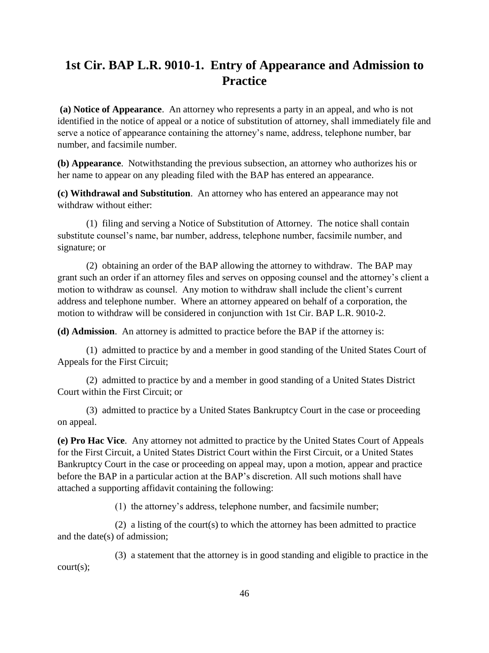## <span id="page-45-0"></span>**1st Cir. BAP L.R. 9010-1. Entry of Appearance and Admission to Practice**

**(a) Notice of Appearance**. An attorney who represents a party in an appeal, and who is not identified in the notice of appeal or a notice of substitution of attorney, shall immediately file and serve a notice of appearance containing the attorney's name, address, telephone number, bar number, and facsimile number.

**(b) Appearance**. Notwithstanding the previous subsection, an attorney who authorizes his or her name to appear on any pleading filed with the BAP has entered an appearance.

**(c) Withdrawal and Substitution**. An attorney who has entered an appearance may not withdraw without either:

(1) filing and serving a Notice of Substitution of Attorney. The notice shall contain substitute counsel's name, bar number, address, telephone number, facsimile number, and signature; or

(2) obtaining an order of the BAP allowing the attorney to withdraw. The BAP may grant such an order if an attorney files and serves on opposing counsel and the attorney's client a motion to withdraw as counsel. Any motion to withdraw shall include the client's current address and telephone number. Where an attorney appeared on behalf of a corporation, the motion to withdraw will be considered in conjunction with 1st Cir. BAP L.R. 9010-2.

**(d) Admission**. An attorney is admitted to practice before the BAP if the attorney is:

(1) admitted to practice by and a member in good standing of the United States Court of Appeals for the First Circuit;

(2) admitted to practice by and a member in good standing of a United States District Court within the First Circuit; or

(3) admitted to practice by a United States Bankruptcy Court in the case or proceeding on appeal.

**(e) Pro Hac Vice**. Any attorney not admitted to practice by the United States Court of Appeals for the First Circuit, a United States District Court within the First Circuit, or a United States Bankruptcy Court in the case or proceeding on appeal may, upon a motion, appear and practice before the BAP in a particular action at the BAP's discretion. All such motions shall have attached a supporting affidavit containing the following:

(1) the attorney's address, telephone number, and facsimile number;

(2) a listing of the court(s) to which the attorney has been admitted to practice and the date(s) of admission;

(3) a statement that the attorney is in good standing and eligible to practice in the court(s);